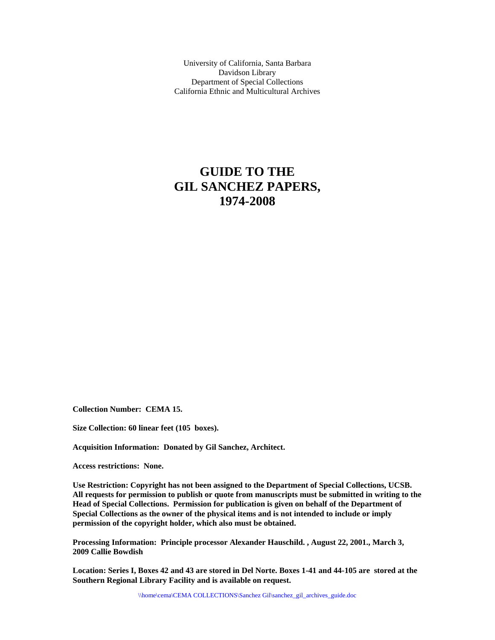University of California, Santa Barbara Davidson Library Department of Special Collections California Ethnic and Multicultural Archives

# **GUIDE TO THE GIL SANCHEZ PAPERS, 1974-2008**

**Collection Number: CEMA 15.** 

**Size Collection: 60 linear feet (105 boxes).** 

**Acquisition Information: Donated by Gil Sanchez, Architect.** 

**Access restrictions: None.** 

**Use Restriction: Copyright has not been assigned to the Department of Special Collections, UCSB. All requests for permission to publish or quote from manuscripts must be submitted in writing to the Head of Special Collections. Permission for publication is given on behalf of the Department of Special Collections as the owner of the physical items and is not intended to include or imply permission of the copyright holder, which also must be obtained.** 

**Processing Information: Principle processor Alexander Hauschild. , August 22, 2001., March 3, 2009 Callie Bowdish** 

**Location: Series I, Boxes 42 and 43 are stored in Del Norte. Boxes 1-41 and 44-105 are stored at the Southern Regional Library Facility and is available on request.**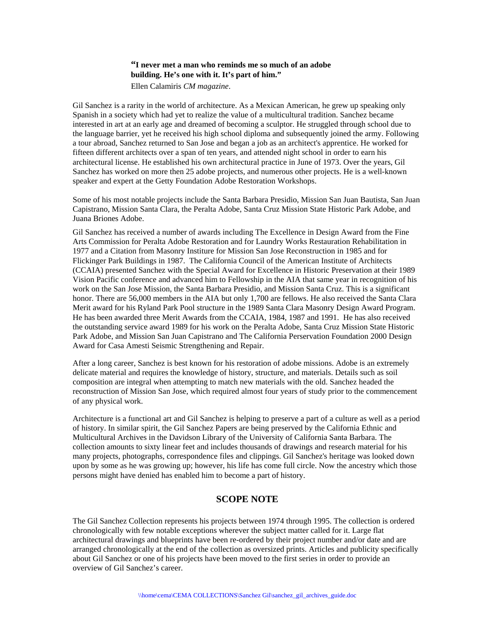# **"I never met a man who reminds me so much of an adobe building. He's one with it. It's part of him."**

Ellen Calamiris *CM magazine*.

Gil Sanchez is a rarity in the world of architecture. As a Mexican American, he grew up speaking only Spanish in a society which had yet to realize the value of a multicultural tradition. Sanchez became interested in art at an early age and dreamed of becoming a sculptor. He struggled through school due to the language barrier, yet he received his high school diploma and subsequently joined the army. Following a tour abroad, Sanchez returned to San Jose and began a job as an architect's apprentice. He worked for fifteen different architects over a span of ten years, and attended night school in order to earn his architectural license. He established his own architectural practice in June of 1973. Over the years, Gil Sanchez has worked on more then 25 adobe projects, and numerous other projects. He is a well-known speaker and expert at the Getty Foundation Adobe Restoration Workshops.

Some of his most notable projects include the Santa Barbara Presidio, Mission San Juan Bautista, San Juan Capistrano, Mission Santa Clara, the Peralta Adobe, Santa Cruz Mission State Historic Park Adobe, and Juana Briones Adobe.

Gil Sanchez has received a number of awards including The Excellence in Design Award from the Fine Arts Commission for Peralta Adobe Restoration and for Laundry Works Restauration Rehabilitation in 1977 and a Citation from Masonry Institure for Mission San Jose Reconstruction in 1985 and for Flickinger Park Buildings in 1987. The California Council of the American Institute of Architects (CCAIA) presented Sanchez with the Special Award for Excellence in Historic Preservation at their 1989 Vision Pacific conference and advanced him to Fellowship in the AIA that same year in recognition of his work on the San Jose Mission, the Santa Barbara Presidio, and Mission Santa Cruz. This is a significant honor. There are 56,000 members in the AIA but only 1,700 are fellows. He also received the Santa Clara Merit award for his Ryland Park Pool structure in the 1989 Santa Clara Masonry Design Award Program. He has been awarded three Merit Awards from the CCAIA, 1984, 1987 and 1991. He has also received the outstanding service award 1989 for his work on the Peralta Adobe, Santa Cruz Mission State Historic Park Adobe, and Mission San Juan Capistrano and The California Perservation Foundation 2000 Design Award for Casa Amesti Seismic Strengthening and Repair.

After a long career, Sanchez is best known for his restoration of adobe missions. Adobe is an extremely delicate material and requires the knowledge of history, structure, and materials. Details such as soil composition are integral when attempting to match new materials with the old. Sanchez headed the reconstruction of Mission San Jose, which required almost four years of study prior to the commencement of any physical work.

Architecture is a functional art and Gil Sanchez is helping to preserve a part of a culture as well as a period of history. In similar spirit, the Gil Sanchez Papers are being preserved by the California Ethnic and Multicultural Archives in the Davidson Library of the University of California Santa Barbara. The collection amounts to sixty linear feet and includes thousands of drawings and research material for his many projects, photographs, correspondence files and clippings. Gil Sanchez's heritage was looked down upon by some as he was growing up; however, his life has come full circle. Now the ancestry which those persons might have denied has enabled him to become a part of history.

# **SCOPE NOTE**

The Gil Sanchez Collection represents his projects between 1974 through 1995. The collection is ordered chronologically with few notable exceptions wherever the subject matter called for it. Large flat architectural drawings and blueprints have been re-ordered by their project number and/or date and are arranged chronologically at the end of the collection as oversized prints. Articles and publicity specifically about Gil Sanchez or one of his projects have been moved to the first series in order to provide an overview of Gil Sanchez's career.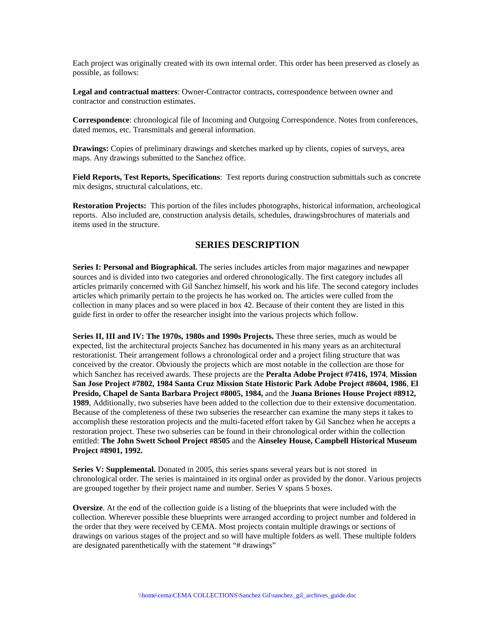Each project was originally created with its own internal order. This order has been preserved as closely as possible, as follows:

**Legal and contractual matters**: Owner-Contractor contracts, correspondence between owner and contractor and construction estimates.

**Correspondence**: chronological file of Incoming and Outgoing Correspondence. Notes from conferences, dated memos, etc. Transmittals and general information.

**Drawings:** Copies of preliminary drawings and sketches marked up by clients, copies of surveys, area maps. Any drawings submitted to the Sanchez office.

**Field Reports, Test Reports, Specifications**: Test reports during construction submittals such as concrete mix designs, structural calculations, etc.

**Restoration Projects:** This portion of the files includes photographs, historical information, archeological reports. Also included are, construction analysis details, schedules, drawingsbrochures of materials and items used in the structure.

# **SERIES DESCRIPTION**

**Series I: Personal and Biographical.** The series includes articles from major magazines and newpaper sources and is divided into two categories and ordered chronologically. The first category includes all articles primarily concerned with Gil Sanchez himself, his work and his life. The second category includes articles which primarily pertain to the projects he has worked on. The articles were culled from the collection in many places and so were placed in box 42. Because of their content they are listed in this guide first in order to offer the researcher insight into the various projects which follow.

**Series II, III and IV: The 1970s, 1980s and 1990s Projects.** These three series, much as would be expected, list the architectural projects Sanchez has documented in his many years as an architectural restorationist. Their arrangement follows a chronological order and a project filing structure that was conceived by the creator. Obviously the projects which are most notable in the collection are those for which Sanchez has received awards. These projects are the **Peralta Adobe Project #7416, 1974**, **Mission San Jose Project #7802, 1984 Santa Cruz Mission State Historic Park Adobe Project #8604, 1986**, **El Presido, Chapel de Santa Barbara Project #8005, 1984,** and the **Juana Briones House Project #8912, 1989**, Additionally, two subseries have been added to the collection due to their extensive documentation. Because of the completeness of these two subseries the researcher can examine the many steps it takes to accomplish these restoration projects and the multi-faceted effort taken by Gil Sanchez when he accepts a restoration project. These two subseries can be found in their chronological order within the collection entitled: **The John Swett School Project #8505** and the **Ainseley House, Campbell Historical Museum Project #8901, 1992.** 

**Series V: Supplemental.** Donated in 2005, this series spans several years but is not stored in chronological order. The series is maintained in its orginal order as provided by the donor. Various projects are grouped together by their project name and number. Series V spans 5 boxes.

**Oversize**. At the end of the collection guide is a listing of the blueprints that were included with the collection. Wherever possible these blueprints were arranged according to project number and foldered in the order that they were received by CEMA. Most projects contain multiple drawings or sections of drawings on various stages of the project and so will have multiple folders as well. These multiple folders are designated parenthetically with the statement "# drawings"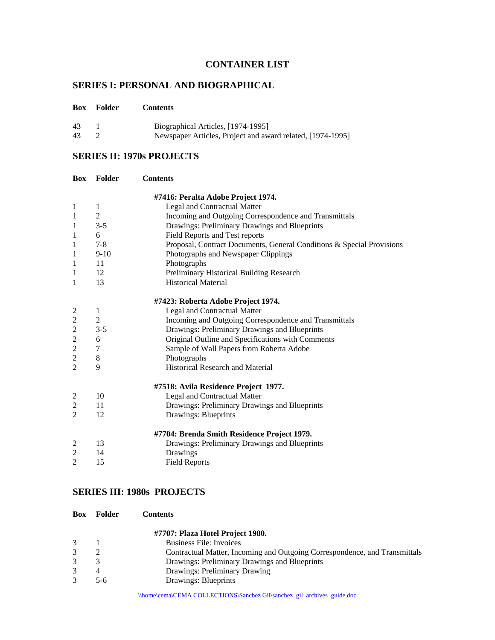# **CONTAINER LIST**

# **SERIES I: PERSONAL AND BIOGRAPHICAL**

| 43 | Biographical Articles, [1974-1995]                         |
|----|------------------------------------------------------------|
| 43 | Newspaper Articles, Project and award related, [1974-1995] |

# **SERIES II: 1970s PROJECTS**

| Box            | <b>Folder</b> | <b>Contents</b>                                                       |
|----------------|---------------|-----------------------------------------------------------------------|
|                |               | #7416: Peralta Adobe Project 1974.                                    |
| $\mathbf{1}$   | $\mathbf{1}$  | Legal and Contractual Matter                                          |
| 1              | $\mathbf{2}$  | Incoming and Outgoing Correspondence and Transmittals                 |
| 1              | $3 - 5$       | Drawings: Preliminary Drawings and Blueprints                         |
| 1              | 6             | Field Reports and Test reports                                        |
| 1              | $7 - 8$       | Proposal, Contract Documents, General Conditions & Special Provisions |
| 1              | $9-10$        | Photographs and Newspaper Clippings                                   |
| 1              | 11            | Photographs                                                           |
| 1              | 12            | Preliminary Historical Building Research                              |
| 1              | 13            | <b>Historical Material</b>                                            |
|                |               | #7423: Roberta Adobe Project 1974.                                    |
| $\overline{c}$ | 1             | Legal and Contractual Matter                                          |
| $\overline{c}$ | $\sqrt{2}$    | Incoming and Outgoing Correspondence and Transmittals                 |
| $\overline{2}$ | $3 - 5$       | Drawings: Preliminary Drawings and Blueprints                         |
| $\overline{2}$ | 6             | Original Outline and Specifications with Comments                     |
| $\overline{c}$ | 7             | Sample of Wall Papers from Roberta Adobe                              |
| $\overline{c}$ | $\,8\,$       | Photographs                                                           |
| $\overline{2}$ | 9             | <b>Historical Research and Material</b>                               |
|                |               | #7518: Avila Residence Project 1977.                                  |
| 2              | 10            | Legal and Contractual Matter                                          |
| $\overline{2}$ | 11            | Drawings: Preliminary Drawings and Blueprints                         |
| $\overline{2}$ | 12            | Drawings: Blueprints                                                  |
|                |               | #7704: Brenda Smith Residence Project 1979.                           |
| 2              | 13            | Drawings: Preliminary Drawings and Blueprints                         |
| $\overline{2}$ | 14            | Drawings                                                              |
| $\overline{2}$ | 15            | <b>Field Reports</b>                                                  |

# **SERIES III: 1980s PROJECTS**

**Box Folder Contents**

|   |     | #7707: Plaza Hotel Project 1980.                                           |
|---|-----|----------------------------------------------------------------------------|
| 3 |     | <b>Business File: Invoices</b>                                             |
|   |     | Contractual Matter, Incoming and Outgoing Correspondence, and Transmittals |
|   |     | Drawings: Preliminary Drawings and Blueprints                              |
|   |     | Drawings: Preliminary Drawing                                              |
|   | 5-6 | Drawings: Blueprints                                                       |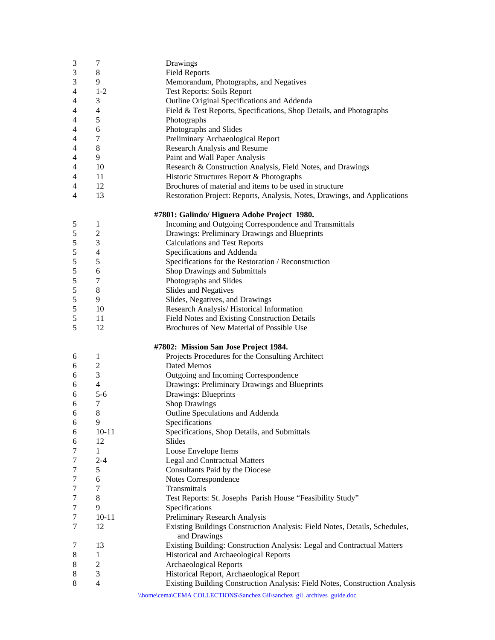| $\sqrt{3}$ | 7              | Drawings                                                                    |
|------------|----------------|-----------------------------------------------------------------------------|
| 3          | 8              | <b>Field Reports</b>                                                        |
| 3          | 9              | Memorandum, Photographs, and Negatives                                      |
| 4          | $1-2$          | <b>Test Reports: Soils Report</b>                                           |
| 4          | 3              | Outline Original Specifications and Addenda                                 |
| 4          | 4              | Field & Test Reports, Specifications, Shop Details, and Photographs         |
| 4          | 5              | Photographs                                                                 |
| 4          | 6              | Photographs and Slides                                                      |
| 4          | 7              | Preliminary Archaeological Report                                           |
| 4          | 8              | <b>Research Analysis and Resume</b>                                         |
| 4          | 9              | Paint and Wall Paper Analysis                                               |
| 4          | 10             | Research & Construction Analysis, Field Notes, and Drawings                 |
| 4          | 11             | Historic Structures Report & Photographs                                    |
| 4          | 12             | Brochures of material and items to be used in structure                     |
| 4          | 13             | Restoration Project: Reports, Analysis, Notes, Drawings, and Applications   |
|            |                |                                                                             |
|            |                | #7801: Galindo/ Higuera Adobe Project 1980.                                 |
| 5          | 1              | Incoming and Outgoing Correspondence and Transmittals                       |
| 5          | $\overline{c}$ | Drawings: Preliminary Drawings and Blueprints                               |
| 5          | 3              | <b>Calculations and Test Reports</b>                                        |
| 5          | 4              | Specifications and Addenda                                                  |
| 5          | 5              | Specifications for the Restoration / Reconstruction                         |
| 5          | 6              | Shop Drawings and Submittals                                                |
| 5          | 7              | Photographs and Slides                                                      |
| 5          | 8              | Slides and Negatives                                                        |
| 5          | 9              | Slides, Negatives, and Drawings                                             |
| 5          | 10             | Research Analysis/ Historical Information                                   |
| 5          | 11             | Field Notes and Existing Construction Details                               |
| 5          | 12             | Brochures of New Material of Possible Use                                   |
|            |                |                                                                             |
|            |                | #7802: Mission San Jose Project 1984.                                       |
| 6          | 1              | Projects Procedures for the Consulting Architect                            |
| 6          | $\overline{2}$ | Dated Memos                                                                 |
| 6          | 3              | Outgoing and Incoming Correspondence                                        |
| 6          | $\overline{4}$ | Drawings: Preliminary Drawings and Blueprints                               |
| 6          | $5 - 6$        | Drawings: Blueprints                                                        |
| 6          | 7              | <b>Shop Drawings</b>                                                        |
| 6          | 8              | Outline Speculations and Addenda                                            |
| 6          | 9              | Specifications                                                              |
| 6          | $10 - 11$      | Specifications, Shop Details, and Submittals                                |
| 6          | 12             | Slides                                                                      |
| 7          | $\mathbf{1}$   | Loose Envelope Items                                                        |
| 7          | $2 - 4$        | <b>Legal and Contractual Matters</b>                                        |
| 7          | 5              | Consultants Paid by the Diocese                                             |
| 7          | 6              | Notes Correspondence                                                        |
| 7          | 7              | Transmittals                                                                |
| 7          | 8              | Test Reports: St. Josephs Parish House "Feasibility Study"                  |
| 7          | 9              | Specifications                                                              |
| 7          | $10 - 11$      | Preliminary Research Analysis                                               |
| 7          | 12             | Existing Buildings Construction Analysis: Field Notes, Details, Schedules,  |
|            |                | and Drawings                                                                |
| 7          | 13             | Existing Building: Construction Analysis: Legal and Contractual Matters     |
| 8          | 1              | Historical and Archaeological Reports                                       |
| 8          | $\overline{c}$ | Archaeological Reports                                                      |
| 8          | 3              | Historical Report, Archaeological Report                                    |
| 8          | $\overline{4}$ | Existing Building Construction Analysis: Field Notes, Construction Analysis |
|            |                | \\home\cema\CEMA COLLECTIONS\Sanchez Gil\sanchez_gil_archives_guide.doc     |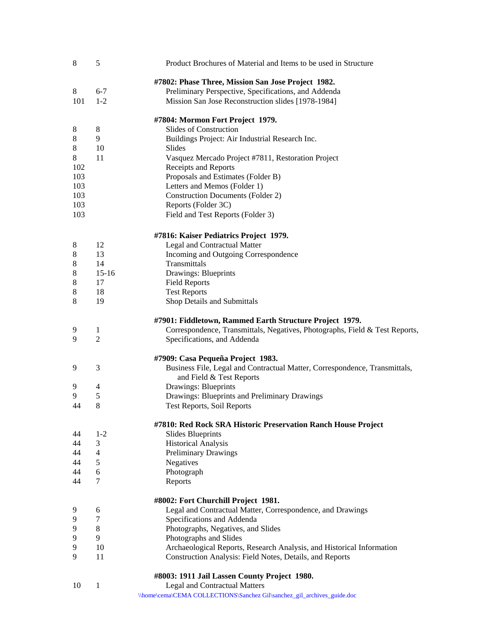| 8       | 5              | Product Brochures of Material and Items to be used in Structure             |
|---------|----------------|-----------------------------------------------------------------------------|
|         |                | #7802: Phase Three, Mission San Jose Project 1982.                          |
| 8       | $6 - 7$        | Preliminary Perspective, Specifications, and Addenda                        |
| 101     | $1 - 2$        | Mission San Jose Reconstruction slides [1978-1984]                          |
|         |                |                                                                             |
|         |                | #7804: Mormon Fort Project 1979.                                            |
| 8       | 8              | Slides of Construction                                                      |
| 8       | 9              | Buildings Project: Air Industrial Research Inc.                             |
| $\,8\,$ | 10             | Slides                                                                      |
| 8       | 11             | Vasquez Mercado Project #7811, Restoration Project                          |
| 102     |                | Receipts and Reports                                                        |
| 103     |                | Proposals and Estimates (Folder B)                                          |
| 103     |                | Letters and Memos (Folder 1)                                                |
| 103     |                | <b>Construction Documents (Folder 2)</b>                                    |
| 103     |                | Reports (Folder 3C)                                                         |
| 103     |                | Field and Test Reports (Folder 3)                                           |
|         |                | #7816: Kaiser Pediatrics Project 1979.                                      |
| 8       | 12             | Legal and Contractual Matter                                                |
| 8       | 13             | Incoming and Outgoing Correspondence                                        |
| 8       | 14             | Transmittals                                                                |
| 8       | $15 - 16$      | Drawings: Blueprints                                                        |
| 8       | 17             | <b>Field Reports</b>                                                        |
| 8       | 18             | <b>Test Reports</b>                                                         |
| 8       | 19             | Shop Details and Submittals                                                 |
|         |                | #7901: Fiddletown, Rammed Earth Structure Project 1979.                     |
| 9       | 1              | Correspondence, Transmittals, Negatives, Photographs, Field & Test Reports, |
| 9       | $\overline{2}$ | Specifications, and Addenda                                                 |
|         |                | #7909: Casa Pequeña Project 1983.                                           |
| 9       | 3              | Business File, Legal and Contractual Matter, Correspondence, Transmittals,  |
|         |                | and Field & Test Reports                                                    |
| 9       | 4              | Drawings: Blueprints                                                        |
| 9       | 5              | Drawings: Blueprints and Preliminary Drawings                               |
| 44      | 8              | Test Reports, Soil Reports                                                  |
|         |                | #7810: Red Rock SRA Historic Preservation Ranch House Project               |
| 44      | $1 - 2$        | <b>Slides Blueprints</b>                                                    |
| 44      | 3              | <b>Historical Analysis</b>                                                  |
| 44      | $\overline{4}$ | <b>Preliminary Drawings</b>                                                 |
| 44      | 5              | Negatives                                                                   |
| 44      | 6              | Photograph                                                                  |
| 44      | 7              | Reports                                                                     |
|         |                | #8002: Fort Churchill Project 1981.                                         |
| 9       | 6              | Legal and Contractual Matter, Correspondence, and Drawings                  |
| 9       | $\tau$         | Specifications and Addenda                                                  |
| 9       | $\,8\,$        | Photographs, Negatives, and Slides                                          |
| 9       | 9              | Photographs and Slides                                                      |
| 9       | 10             | Archaeological Reports, Research Analysis, and Historical Information       |
| 9       | 11             | Construction Analysis: Field Notes, Details, and Reports                    |
|         |                | #8003: 1911 Jail Lassen County Project 1980.                                |
| 10      | 1              | <b>Legal and Contractual Matters</b>                                        |
|         |                | \\home\cema\CEMA COLLECTIONS\Sanchez Gil\sanchez_gil_archives_guide.doc     |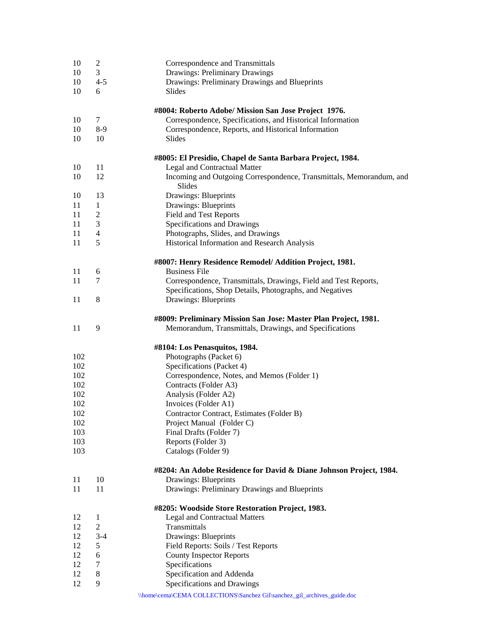| 10  | $\overline{c}$ | Correspondence and Transmittals                                                            |
|-----|----------------|--------------------------------------------------------------------------------------------|
| 10  | 3              | Drawings: Preliminary Drawings                                                             |
| 10  | $4 - 5$        | Drawings: Preliminary Drawings and Blueprints                                              |
| 10  | 6              | Slides                                                                                     |
|     |                |                                                                                            |
|     |                | #8004: Roberto Adobe/ Mission San Jose Project 1976.                                       |
| 10  | 7              | Correspondence, Specifications, and Historical Information                                 |
| 10  | $8-9$          | Correspondence, Reports, and Historical Information                                        |
| 10  | 10             | Slides                                                                                     |
|     |                |                                                                                            |
| 10  | 11             | #8005: El Presidio, Chapel de Santa Barbara Project, 1984.<br>Legal and Contractual Matter |
| 10  | 12             | Incoming and Outgoing Correspondence, Transmittals, Memorandum, and                        |
|     |                | Slides                                                                                     |
| 10  | 13             | Drawings: Blueprints                                                                       |
| 11  | $\mathbf{1}$   | Drawings: Blueprints                                                                       |
| 11  | $\overline{2}$ |                                                                                            |
| 11  | 3              | Field and Test Reports                                                                     |
|     |                | Specifications and Drawings                                                                |
| 11  | 4              | Photographs, Slides, and Drawings                                                          |
| 11  | 5              | Historical Information and Research Analysis                                               |
|     |                | #8007: Henry Residence Remodel/ Addition Project, 1981.                                    |
| 11  | 6              | <b>Business File</b>                                                                       |
| 11  | 7              | Correspondence, Transmittals, Drawings, Field and Test Reports,                            |
|     |                | Specifications, Shop Details, Photographs, and Negatives                                   |
| 11  | 8              | Drawings: Blueprints                                                                       |
|     |                |                                                                                            |
|     |                | #8009: Preliminary Mission San Jose: Master Plan Project, 1981.                            |
| 11  | 9              | Memorandum, Transmittals, Drawings, and Specifications                                     |
|     |                | #8104: Los Penasquitos, 1984.                                                              |
| 102 |                | Photographs (Packet 6)                                                                     |
|     |                |                                                                                            |
| 102 |                | Specifications (Packet 4)                                                                  |
| 102 |                | Correspondence, Notes, and Memos (Folder 1)                                                |
| 102 |                | Contracts (Folder A3)                                                                      |
| 102 |                | Analysis (Folder A2)                                                                       |
| 102 |                | Invoices (Folder A1)                                                                       |
| 102 |                | Contractor Contract, Estimates (Folder B)                                                  |
| 102 |                | Project Manual (Folder C)                                                                  |
| 103 |                | Final Drafts (Folder 7)                                                                    |
| 103 |                | Reports (Folder 3)                                                                         |
| 103 |                | Catalogs (Folder 9)                                                                        |
|     |                | #8204: An Adobe Residence for David & Diane Johnson Project, 1984.                         |
| 11  | 10             | Drawings: Blueprints                                                                       |
| 11  | 11             | Drawings: Preliminary Drawings and Blueprints                                              |
|     |                |                                                                                            |
|     |                | #8205: Woodside Store Restoration Project, 1983.                                           |
| 12  | 1              | <b>Legal and Contractual Matters</b>                                                       |
| 12  | $\overline{2}$ | Transmittals                                                                               |
| 12  | $3 - 4$        | Drawings: Blueprints                                                                       |
| 12  | 5              | Field Reports: Soils / Test Reports                                                        |
| 12  | 6              | <b>County Inspector Reports</b>                                                            |
| 12  | 7              | Specifications                                                                             |
| 12  | 8              | Specification and Addenda                                                                  |
| 12  | 9              | Specifications and Drawings                                                                |
|     |                | \\home\cema\CEMA COLLECTIONS\Sanchez Gil\sanchez_gil_archives_guide.doc                    |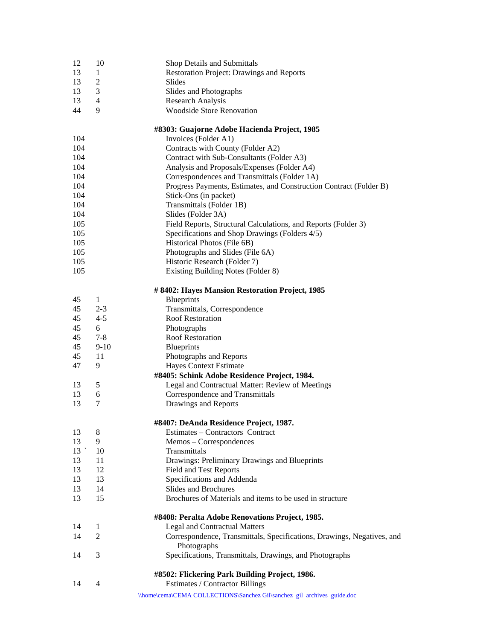| 12  | 10             | Shop Details and Submittals                                             |
|-----|----------------|-------------------------------------------------------------------------|
| 13  | 1              | Restoration Project: Drawings and Reports                               |
| 13  | $\overline{2}$ | Slides                                                                  |
| 13  | 3              | Slides and Photographs                                                  |
| 13  | 4              | <b>Research Analysis</b>                                                |
| 44  | 9              | <b>Woodside Store Renovation</b>                                        |
|     |                |                                                                         |
|     |                | #8303: Guajorne Adobe Hacienda Project, 1985                            |
| 104 |                | Invoices (Folder A1)                                                    |
| 104 |                | Contracts with County (Folder A2)                                       |
| 104 |                | Contract with Sub-Consultants (Folder A3)                               |
| 104 |                | Analysis and Proposals/Expenses (Folder A4)                             |
| 104 |                | Correspondences and Transmittals (Folder 1A)                            |
| 104 |                | Progress Payments, Estimates, and Construction Contract (Folder B)      |
| 104 |                | Stick-Ons (in packet)                                                   |
| 104 |                | Transmittals (Folder 1B)                                                |
| 104 |                | Slides (Folder 3A)                                                      |
| 105 |                | Field Reports, Structural Calculations, and Reports (Folder 3)          |
| 105 |                | Specifications and Shop Drawings (Folders 4/5)                          |
| 105 |                | Historical Photos (File 6B)                                             |
| 105 |                |                                                                         |
|     |                | Photographs and Slides (File 6A)                                        |
| 105 |                | Historic Research (Folder 7)                                            |
| 105 |                | Existing Building Notes (Folder 8)                                      |
|     |                | # 8402: Hayes Mansion Restoration Project, 1985                         |
| 45  | 1              | <b>Blueprints</b>                                                       |
| 45  | $2 - 3$        | Transmittals, Correspondence                                            |
| 45  | $4 - 5$        | <b>Roof Restoration</b>                                                 |
| 45  | 6              | Photographs                                                             |
| 45  | $7 - 8$        | <b>Roof Restoration</b>                                                 |
| 45  | $9-10$         | <b>Blueprints</b>                                                       |
| 45  | 11             | Photographs and Reports                                                 |
| 47  | 9              | Hayes Context Estimate                                                  |
|     |                | #8405: Schink Adobe Residence Project, 1984.                            |
| 13  | 5              | Legal and Contractual Matter: Review of Meetings                        |
| 13  | 6              | Correspondence and Transmittals                                         |
| 13  | 7              | Drawings and Reports                                                    |
|     |                |                                                                         |
|     |                | #8407: DeAnda Residence Project, 1987.                                  |
| 13  | 8              | Estimates - Contractors Contract                                        |
| 13  | 9              | Memos - Correspondences                                                 |
| 13  | 10             | Transmittals                                                            |
| 13  | 11             | Drawings: Preliminary Drawings and Blueprints                           |
| 13  | 12             | <b>Field and Test Reports</b>                                           |
| 13  | 13             | Specifications and Addenda                                              |
| 13  | 14             | <b>Slides and Brochures</b>                                             |
| 13  | 15             | Brochures of Materials and items to be used in structure                |
|     |                | #8408: Peralta Adobe Renovations Project, 1985.                         |
| 14  | 1              | Legal and Contractual Matters                                           |
| 14  | $\overline{2}$ | Correspondence, Transmittals, Specifications, Drawings, Negatives, and  |
|     |                |                                                                         |
| 14  | 3              | Photographs<br>Specifications, Transmittals, Drawings, and Photographs  |
|     |                |                                                                         |
|     |                | #8502: Flickering Park Building Project, 1986.                          |
| 14  | 4              | Estimates / Contractor Billings                                         |
|     |                | \\home\cema\CEMA COLLECTIONS\Sanchez Gil\sanchez_gil_archives_guide.doc |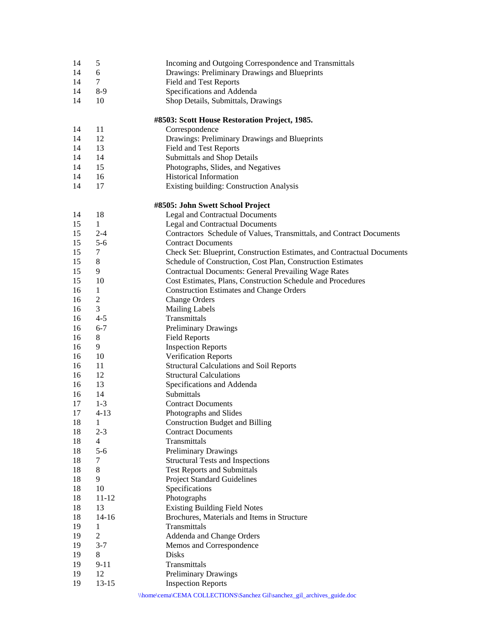| 14     | 5              | Incoming and Outgoing Correspondence and Transmittals                      |
|--------|----------------|----------------------------------------------------------------------------|
| 14     | 6              | Drawings: Preliminary Drawings and Blueprints                              |
| 14     | 7              | <b>Field and Test Reports</b>                                              |
| 14     | $8-9$          | Specifications and Addenda                                                 |
| 14     | 10             | Shop Details, Submittals, Drawings                                         |
|        |                |                                                                            |
|        |                | #8503: Scott House Restoration Project, 1985.                              |
| 14     | 11             | Correspondence                                                             |
| 14     | 12             | Drawings: Preliminary Drawings and Blueprints                              |
| 14     | 13             | <b>Field and Test Reports</b>                                              |
| 14     | 14             | Submittals and Shop Details                                                |
|        |                |                                                                            |
| 14     | 15             | Photographs, Slides, and Negatives                                         |
| 14     | 16             | <b>Historical Information</b>                                              |
| 14     | 17             | Existing building: Construction Analysis                                   |
|        |                |                                                                            |
| 14     | 18             | #8505: John Swett School Project<br><b>Legal and Contractual Documents</b> |
| 15     | 1              |                                                                            |
|        |                | <b>Legal and Contractual Documents</b>                                     |
| 15     | $2 - 4$        | Contractors Schedule of Values, Transmittals, and Contract Documents       |
| 15     | $5 - 6$        | <b>Contract Documents</b>                                                  |
| 15     | 7              | Check Set: Blueprint, Construction Estimates, and Contractual Documents    |
| 15     | 8              | Schedule of Construction, Cost Plan, Construction Estimates                |
| 15     | 9              | <b>Contractual Documents: General Prevailing Wage Rates</b>                |
| 15     | 10             | Cost Estimates, Plans, Construction Schedule and Procedures                |
| 16     | $\mathbf{1}$   | <b>Construction Estimates and Change Orders</b>                            |
| 16     | $\mathfrak 2$  | <b>Change Orders</b>                                                       |
| 16     | 3              | <b>Mailing Labels</b>                                                      |
| 16     | $4 - 5$        | Transmittals                                                               |
| 16     | $6 - 7$        | Preliminary Drawings                                                       |
| 16     | 8              | <b>Field Reports</b>                                                       |
| 16     | 9              | <b>Inspection Reports</b>                                                  |
| 16     | 10             | Verification Reports                                                       |
| 16     | 11             | <b>Structural Calculations and Soil Reports</b>                            |
| 16     | 12             | <b>Structural Calculations</b>                                             |
| 16     | 13             | Specifications and Addenda                                                 |
| 16     | 14             | Submittals                                                                 |
| 17     | $1 - 3$        | <b>Contract Documents</b>                                                  |
| 17     | $4 - 13$       | Photographs and Slides                                                     |
| $18\,$ | $\mathbf{1}$   | <b>Construction Budget and Billing</b>                                     |
| 18     | $2 - 3$        | <b>Contract Documents</b>                                                  |
| 18     | $\overline{4}$ | Transmittals                                                               |
| 18     | $5 - 6$        | <b>Preliminary Drawings</b>                                                |
| 18     | 7              | <b>Structural Tests and Inspections</b>                                    |
| 18     | 8              | <b>Test Reports and Submittals</b>                                         |
| 18     | 9              | <b>Project Standard Guidelines</b>                                         |
| 18     | 10             | Specifications                                                             |
| 18     | $11 - 12$      | Photographs                                                                |
| 18     | 13             | <b>Existing Building Field Notes</b>                                       |
| 18     | $14 - 16$      | Brochures, Materials and Items in Structure                                |
| 19     | $\mathbf{1}$   | Transmittals                                                               |
| 19     | $\overline{2}$ | Addenda and Change Orders                                                  |
| 19     | $3 - 7$        | Memos and Correspondence                                                   |
| 19     | 8              | <b>Disks</b>                                                               |
| 19     | $9 - 11$       | Transmittals                                                               |
| 19     | 12             | <b>Preliminary Drawings</b>                                                |
| 19     | $13 - 15$      | <b>Inspection Reports</b>                                                  |
|        |                |                                                                            |
|        |                | \\home\cema\CEMA COLLECTIONS\Sanchez Gil\sanchez_gil_archives_guide.doc    |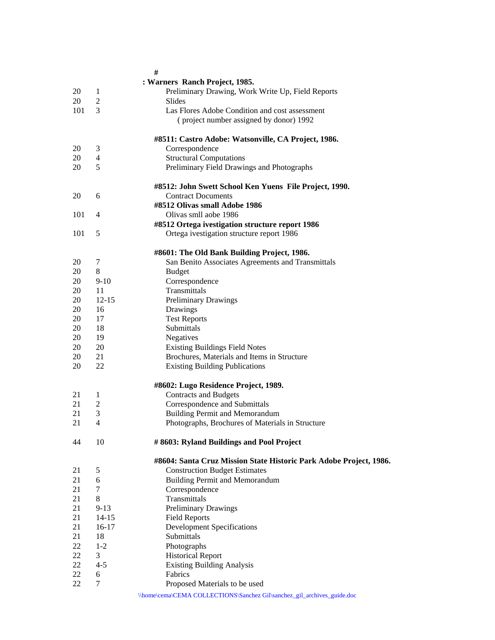|     |                | #                                                                                   |
|-----|----------------|-------------------------------------------------------------------------------------|
|     |                | : Warners Ranch Project, 1985.                                                      |
| 20  | 1              | Preliminary Drawing, Work Write Up, Field Reports                                   |
| 20  | $\overline{2}$ | Slides                                                                              |
| 101 | 3              | Las Flores Adobe Condition and cost assessment                                      |
|     |                | (project number assigned by donor) 1992                                             |
|     |                | #8511: Castro Adobe: Watsonville, CA Project, 1986.                                 |
| 20  | 3              | Correspondence                                                                      |
| 20  | $\overline{4}$ | <b>Structural Computations</b>                                                      |
| 20  | 5              | Preliminary Field Drawings and Photographs                                          |
|     |                |                                                                                     |
| 20  | 6              | #8512: John Swett School Ken Yuens File Project, 1990.<br><b>Contract Documents</b> |
|     |                | #8512 Olivas small Adobe 1986                                                       |
| 101 | $\overline{4}$ | Olivas smll aobe 1986                                                               |
|     |                | #8512 Ortega ivestigation structure report 1986                                     |
| 101 | 5              | Ortega ivestigation structure report 1986                                           |
|     |                |                                                                                     |
|     |                | #8601: The Old Bank Building Project, 1986.                                         |
| 20  | 7              | San Benito Associates Agreements and Transmittals                                   |
| 20  | 8              | <b>Budget</b>                                                                       |
| 20  | $9 - 10$       | Correspondence                                                                      |
| 20  | 11             | Transmittals                                                                        |
| 20  | $12 - 15$      | <b>Preliminary Drawings</b>                                                         |
| 20  | 16             | Drawings                                                                            |
| 20  | 17             | <b>Test Reports</b>                                                                 |
| 20  | 18             | Submittals                                                                          |
| 20  | 19             | Negatives                                                                           |
| 20  | 20             | <b>Existing Buildings Field Notes</b>                                               |
| 20  | 21             | Brochures, Materials and Items in Structure                                         |
| 20  | 22             | <b>Existing Building Publications</b>                                               |
|     |                | #8602: Lugo Residence Project, 1989.                                                |
| 21  | $\mathbf{1}$   | <b>Contracts and Budgets</b>                                                        |
| 21  | $\overline{c}$ | Correspondence and Submittals                                                       |
| 21  | 3              | <b>Building Permit and Memorandum</b>                                               |
| 21  | 4              | Photographs, Brochures of Materials in Structure                                    |
| 44  | 10             | # 8603: Ryland Buildings and Pool Project                                           |
|     |                | #8604: Santa Cruz Mission State Historic Park Adobe Project, 1986.                  |
| 21  | 5              | <b>Construction Budget Estimates</b>                                                |
| 21  | 6              | <b>Building Permit and Memorandum</b>                                               |
| 21  | 7              | Correspondence                                                                      |
| 21  | 8              | Transmittals                                                                        |
| 21  | $9-13$         | Preliminary Drawings                                                                |
| 21  | $14 - 15$      | <b>Field Reports</b>                                                                |
| 21  | $16-17$        | <b>Development Specifications</b>                                                   |
| 21  | 18             | Submittals                                                                          |
| 22  | $1-2$          | Photographs                                                                         |
| 22  | 3              | <b>Historical Report</b>                                                            |
| 22  | $4 - 5$        | <b>Existing Building Analysis</b>                                                   |
| 22  | 6              | Fabrics                                                                             |
| 22  | 7              | Proposed Materials to be used                                                       |
|     |                | \\home\cema\CEMA COLLECTIONS\Sanchez Gil\sanchez_gil_archives_guide.doc             |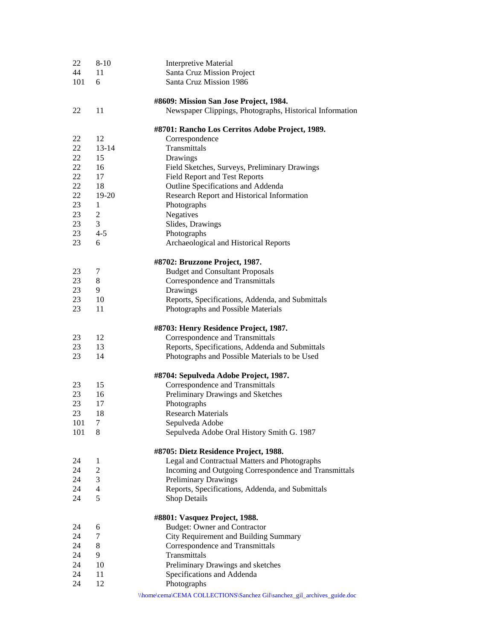| 22  | $8 - 10$                 | <b>Interpretive Material</b>                                            |
|-----|--------------------------|-------------------------------------------------------------------------|
| 44  | 11                       | Santa Cruz Mission Project                                              |
| 101 | 6                        | Santa Cruz Mission 1986                                                 |
|     |                          | #8609: Mission San Jose Project, 1984.                                  |
| 22  | 11                       | Newspaper Clippings, Photographs, Historical Information                |
|     |                          | #8701: Rancho Los Cerritos Adobe Project, 1989.                         |
| 22  | 12                       | Correspondence                                                          |
| 22  | $13 - 14$                | Transmittals                                                            |
| 22  | 15                       | Drawings                                                                |
| 22  | 16                       | Field Sketches, Surveys, Preliminary Drawings                           |
| 22  | 17                       | <b>Field Report and Test Reports</b>                                    |
| 22  | 18                       | Outline Specifications and Addenda                                      |
| 22  | $19-20$                  | Research Report and Historical Information                              |
| 23  | $\mathbf{1}$             | Photographs                                                             |
| 23  | $\overline{2}$           | Negatives                                                               |
| 23  | 3                        | Slides, Drawings                                                        |
| 23  | $4 - 5$                  | Photographs                                                             |
| 23  | 6                        | Archaeological and Historical Reports                                   |
|     |                          | #8702: Bruzzone Project, 1987.                                          |
| 23  | 7                        | <b>Budget and Consultant Proposals</b>                                  |
| 23  | 8                        | Correspondence and Transmittals                                         |
| 23  | 9                        | Drawings                                                                |
| 23  | 10                       | Reports, Specifications, Addenda, and Submittals                        |
| 23  | 11                       | Photographs and Possible Materials                                      |
|     |                          | #8703: Henry Residence Project, 1987.                                   |
| 23  | 12                       | Correspondence and Transmittals                                         |
| 23  | 13                       | Reports, Specifications, Addenda and Submittals                         |
| 23  | 14                       | Photographs and Possible Materials to be Used                           |
|     |                          | #8704: Sepulveda Adobe Project, 1987.                                   |
| 23  | 15                       | Correspondence and Transmittals                                         |
| 23  | 16                       | Preliminary Drawings and Sketches                                       |
| 23  | 17                       | Photographs                                                             |
| 23  | 18                       | <b>Research Materials</b>                                               |
| 101 | 7                        | Sepulveda Adobe                                                         |
| 101 | 8                        | Sepulveda Adobe Oral History Smith G. 1987                              |
|     |                          | #8705: Dietz Residence Project, 1988.                                   |
| 24  | 1                        | Legal and Contractual Matters and Photographs                           |
| 24  | 2                        | Incoming and Outgoing Correspondence and Transmittals                   |
| 24  | 3                        | <b>Preliminary Drawings</b>                                             |
| 24  | $\overline{\mathcal{A}}$ | Reports, Specifications, Addenda, and Submittals                        |
| 24  | 5                        | Shop Details                                                            |
|     |                          | #8801: Vasquez Project, 1988.                                           |
| 24  | 6                        | <b>Budget: Owner and Contractor</b>                                     |
| 24  | 7                        | City Requirement and Building Summary                                   |
| 24  | 8                        | Correspondence and Transmittals                                         |
| 24  | 9                        | Transmittals                                                            |
| 24  | 10                       | Preliminary Drawings and sketches                                       |
| 24  | 11                       | Specifications and Addenda                                              |
| 24  | 12                       | Photographs                                                             |
|     |                          | \\home\cema\CEMA COLLECTIONS\Sanchez Gil\sanchez_gil_archives_guide.doc |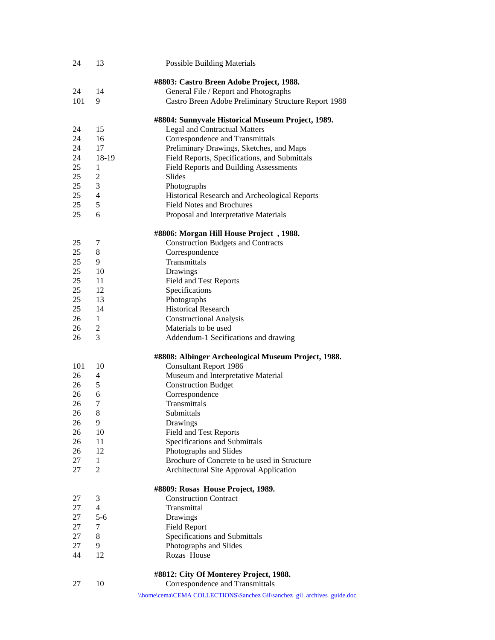| 24       | 13             | <b>Possible Building Materials</b>                                      |
|----------|----------------|-------------------------------------------------------------------------|
|          |                | #8803: Castro Breen Adobe Project, 1988.                                |
| 24       | 14             | General File / Report and Photographs                                   |
| 101      | 9              | Castro Breen Adobe Preliminary Structure Report 1988                    |
|          |                | #8804: Sunnyvale Historical Museum Project, 1989.                       |
| 24       | 15             | <b>Legal and Contractual Matters</b>                                    |
| 24       | 16             | Correspondence and Transmittals                                         |
| 24       | 17             | Preliminary Drawings, Sketches, and Maps                                |
| 24       | 18-19          | Field Reports, Specifications, and Submittals                           |
| 25       | 1              | Field Reports and Building Assessments                                  |
| 25       | 2              | Slides                                                                  |
| 25       | 3              | Photographs                                                             |
| 25       | $\overline{4}$ | Historical Research and Archeological Reports                           |
| 25       | 5              | <b>Field Notes and Brochures</b>                                        |
| 25       | 6              | Proposal and Interpretative Materials                                   |
|          |                | #8806: Morgan Hill House Project, 1988.                                 |
| 25       | 7              | <b>Construction Budgets and Contracts</b>                               |
| 25       | 8              | Correspondence                                                          |
| 25       | 9              | Transmittals                                                            |
| 25       | 10             | Drawings                                                                |
| 25       | 11             | Field and Test Reports                                                  |
| 25       | 12             | Specifications                                                          |
| 25       | 13             | Photographs                                                             |
| 25       | 14             | <b>Historical Research</b>                                              |
| 26       | 1              | <b>Constructional Analysis</b>                                          |
| 26       | 2              | Materials to be used                                                    |
| 26       | 3              | Addendum-1 Secifications and drawing                                    |
|          |                | #8808: Albinger Archeological Museum Project, 1988.                     |
| 101      | 10             | <b>Consultant Report 1986</b>                                           |
| 26       | 4              | Museum and Interpretative Material                                      |
| 26       | 5              | <b>Construction Budget</b>                                              |
| 26       | 6              | Correspondence                                                          |
| 26       | 7              | Transmittals                                                            |
| 26       | 8              | Submittals                                                              |
| 26       | 9              | Drawings                                                                |
| 26       | 10             | <b>Field and Test Reports</b>                                           |
| 26       | 11             | Specifications and Submittals                                           |
| 26       | 12             | Photographs and Slides                                                  |
| 27       | $\mathbf{1}$   | Brochure of Concrete to be used in Structure                            |
| 27       | 2              | Architectural Site Approval Application                                 |
|          |                | #8809: Rosas House Project, 1989.                                       |
| 27<br>27 | 3<br>4         | <b>Construction Contract</b><br>Transmittal                             |
| 27       | $5 - 6$        |                                                                         |
| 27       | 7              | Drawings<br><b>Field Report</b>                                         |
| 27       | 8              | Specifications and Submittals                                           |
| 27       | 9              | Photographs and Slides                                                  |
| 44       | 12             | Rozas House                                                             |
|          |                |                                                                         |
|          |                | #8812: City Of Monterey Project, 1988.                                  |
| 27       | 10             | Correspondence and Transmittals                                         |
|          |                | \\home\cema\CEMA COLLECTIONS\Sanchez Gil\sanchez_gil_archives_guide.doc |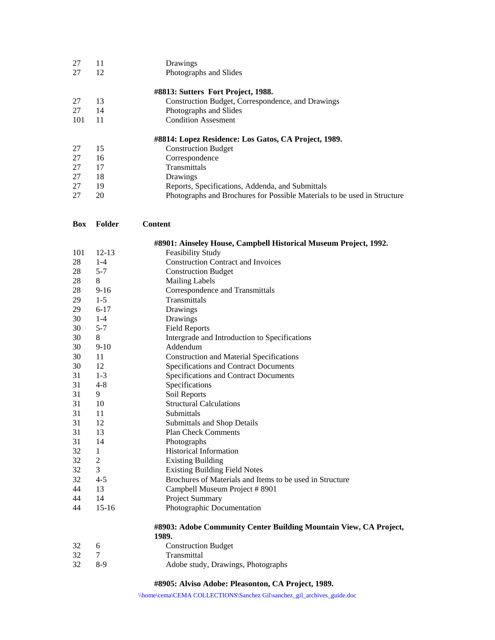| 27  | 11 | Drawings                                             |
|-----|----|------------------------------------------------------|
| 27  | 12 | Photographs and Slides                               |
|     |    | #8813: Sutters Fort Project, 1988.                   |
| 27  | 13 | Construction Budget, Correspondence, and Drawings    |
| 27  | 14 | Photographs and Slides                               |
| 101 | 11 | <b>Condition Assesment</b>                           |
|     |    | #8814: Lopez Residence: Los Gatos, CA Project, 1989. |
| 27  | 15 | <b>Construction Budget</b>                           |
| 27  | 16 | Correspondence                                       |
| 27  | 17 | Transmittals                                         |
| 27  | 18 | Drawings                                             |
| 27  | 19 | Reports, Specifications, Addenda, and Submittals     |
|     |    |                                                      |

| <b>Box</b> | Folder         | <b>Content</b>                                                             |
|------------|----------------|----------------------------------------------------------------------------|
|            |                | #8901: Ainseley House, Campbell Historical Museum Project, 1992.           |
| 101        | $12 - 13$      | <b>Feasibility Study</b>                                                   |
| 28         | $1 - 4$        | <b>Construction Contract and Invoices</b>                                  |
| 28         | $5 - 7$        | <b>Construction Budget</b>                                                 |
| 28         | 8              | <b>Mailing Labels</b>                                                      |
| 28         | $9 - 16$       | Correspondence and Transmittals                                            |
| 29         | $1-5$          | Transmittals                                                               |
| 29         | $6 - 17$       | Drawings                                                                   |
| 30         | $1 - 4$        | Drawings                                                                   |
| 30         | $5 - 7$        | <b>Field Reports</b>                                                       |
| 30         | 8              | Intergrade and Introduction to Specifications                              |
| 30         | $9-10$         | Addendum                                                                   |
| 30         | 11             | <b>Construction and Material Specifications</b>                            |
| 30         | 12             | Specifications and Contract Documents                                      |
| 31         | $1 - 3$        | Specifications and Contract Documents                                      |
| 31         | $4 - 8$        | Specifications                                                             |
| 31         | 9              | Soil Reports                                                               |
| 31         | 10             | <b>Structural Calculations</b>                                             |
| 31         | 11             | Submittals                                                                 |
| 31         | 12             | Submittals and Shop Details                                                |
| 31         | 13             | <b>Plan Check Comments</b>                                                 |
| 31         | 14             | Photographs                                                                |
| 32         | $\mathbf{1}$   | <b>Historical Information</b>                                              |
| 32         | $\overline{c}$ | <b>Existing Building</b>                                                   |
| 32         | 3              | <b>Existing Building Field Notes</b>                                       |
| 32         | $4 - 5$        | Brochures of Materials and Items to be used in Structure                   |
| 44         | 13             | Campbell Museum Project # 8901                                             |
| 44         | 14             | Project Summary                                                            |
| 44         | $15-16$        | Photographic Documentation                                                 |
|            |                | #8903: Adobe Community Center Building Mountain View, CA Project,<br>1989. |
| 32         | 6              | <b>Construction Budget</b>                                                 |
| 32         | $\tau$         | Transmittal                                                                |
| 32         | $8-9$          | Adobe study, Drawings, Photographs                                         |

# **#8905: Alviso Adobe: Pleasonton, CA Project, 1989.**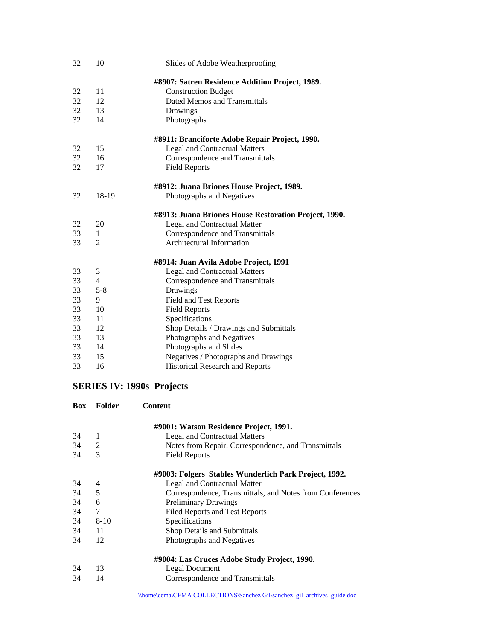| 32 | 10             | Slides of Adobe Weatherproofing                       |
|----|----------------|-------------------------------------------------------|
|    |                | #8907: Satren Residence Addition Project, 1989.       |
| 32 | 11             | <b>Construction Budget</b>                            |
| 32 | 12             | Dated Memos and Transmittals                          |
| 32 | 13             | Drawings                                              |
| 32 | 14             | Photographs                                           |
|    |                | #8911: Branciforte Adobe Repair Project, 1990.        |
| 32 | 15             | <b>Legal and Contractual Matters</b>                  |
| 32 | 16             | Correspondence and Transmittals                       |
| 32 | 17             | <b>Field Reports</b>                                  |
|    |                | #8912: Juana Briones House Project, 1989.             |
| 32 | 18-19          | Photographs and Negatives                             |
|    |                | #8913: Juana Briones House Restoration Project, 1990. |
| 32 | 20             | <b>Legal and Contractual Matter</b>                   |
| 33 | $\mathbf{1}$   | Correspondence and Transmittals                       |
| 33 | 2              | Architectural Information                             |
|    |                | #8914: Juan Avila Adobe Project, 1991                 |
| 33 | 3              | <b>Legal and Contractual Matters</b>                  |
| 33 | $\overline{4}$ | Correspondence and Transmittals                       |
| 33 | $5 - 8$        | Drawings                                              |
| 33 | 9              | Field and Test Reports                                |
| 33 | 10             | <b>Field Reports</b>                                  |
| 33 | 11             | Specifications                                        |
| 33 | 12             | Shop Details / Drawings and Submittals                |
| 33 | 13             | Photographs and Negatives                             |
| 33 | 14             | Photographs and Slides                                |
| 33 | 15             | Negatives / Photographs and Drawings                  |
| 33 | 16             | Historical Research and Reports                       |

# **SERIES IV: 1990s Projects**

| <b>Box</b> | Folder   | <b>Content</b>                                           |
|------------|----------|----------------------------------------------------------|
|            |          | #9001: Watson Residence Project, 1991.                   |
| 34         | 1        | <b>Legal and Contractual Matters</b>                     |
| 34         | 2        | Notes from Repair, Correspondence, and Transmittals      |
| 34         | 3        | <b>Field Reports</b>                                     |
|            |          | #9003: Folgers Stables Wunderlich Park Project, 1992.    |
| 34         | 4        | Legal and Contractual Matter                             |
| 34         | 5        | Correspondence, Transmittals, and Notes from Conferences |
| 34         | 6        | <b>Preliminary Drawings</b>                              |
| 34         | 7        | <b>Filed Reports and Test Reports</b>                    |
| 34         | $8 - 10$ | Specifications                                           |
| 34         | 11       | Shop Details and Submittals                              |
| 34         | 12       | Photographs and Negatives                                |
|            |          | #9004: Las Cruces Adobe Study Project, 1990.             |
| 34         | 13       | Legal Document                                           |
| 34         | 14       | Correspondence and Transmittals                          |
|            |          |                                                          |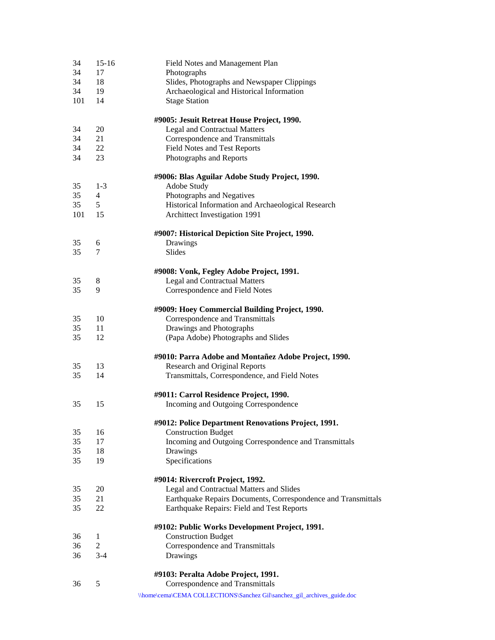| 34  | $15 - 16$      | Field Notes and Management Plan                                         |
|-----|----------------|-------------------------------------------------------------------------|
| 34  | 17             | Photographs                                                             |
| 34  | 18             | Slides, Photographs and Newspaper Clippings                             |
| 34  | 19             | Archaeological and Historical Information                               |
| 101 | 14             | <b>Stage Station</b>                                                    |
|     |                | #9005: Jesuit Retreat House Project, 1990.                              |
| 34  | 20             | <b>Legal and Contractual Matters</b>                                    |
| 34  | 21             | Correspondence and Transmittals                                         |
| 34  | 22             | Field Notes and Test Reports                                            |
| 34  | 23             | Photographs and Reports                                                 |
|     |                | #9006: Blas Aguilar Adobe Study Project, 1990.                          |
| 35  | $1 - 3$        | Adobe Study                                                             |
| 35  | 4              | Photographs and Negatives                                               |
| 35  | 5              | Historical Information and Archaeological Research                      |
| 101 | 15             | Archittect Investigation 1991                                           |
|     |                | #9007: Historical Depiction Site Project, 1990.                         |
| 35  | 6              | Drawings                                                                |
| 35  | 7              | Slides                                                                  |
|     |                | #9008: Vonk, Fegley Adobe Project, 1991.                                |
| 35  | 8              | <b>Legal and Contractual Matters</b>                                    |
| 35  | 9              | Correspondence and Field Notes                                          |
|     |                | #9009: Hoey Commercial Building Project, 1990.                          |
| 35  | 10             | Correspondence and Transmittals                                         |
| 35  | 11             | Drawings and Photographs                                                |
| 35  | 12             | (Papa Adobe) Photographs and Slides                                     |
|     |                | #9010: Parra Adobe and Montañez Adobe Project, 1990.                    |
| 35  | 13             | Research and Original Reports                                           |
| 35  | 14             | Transmittals, Correspondence, and Field Notes                           |
|     |                | #9011: Carrol Residence Project, 1990.                                  |
| 35  | 15             | Incoming and Outgoing Correspondence                                    |
|     |                | #9012: Police Department Renovations Project, 1991.                     |
| 35  | 16             | <b>Construction Budget</b>                                              |
| 35  | 17             | Incoming and Outgoing Correspondence and Transmittals                   |
| 35  | 18             | Drawings                                                                |
| 35  | 19             | Specifications                                                          |
|     |                | #9014: Rivercroft Project, 1992.                                        |
| 35  | 20             | Legal and Contractual Matters and Slides                                |
| 35  | 21             | Earthquake Repairs Documents, Correspondence and Transmittals           |
| 35  | 22             | Earthquake Repairs: Field and Test Reports                              |
|     |                | #9102: Public Works Development Project, 1991.                          |
| 36  | 1              | <b>Construction Budget</b>                                              |
| 36  | $\overline{2}$ | Correspondence and Transmittals                                         |
| 36  | $3 - 4$        | Drawings                                                                |
|     |                | #9103: Peralta Adobe Project, 1991.                                     |
| 36  | 5              | Correspondence and Transmittals                                         |
|     |                | \\home\cema\CEMA COLLECTIONS\Sanchez Gil\sanchez_gil_archives_guide.doc |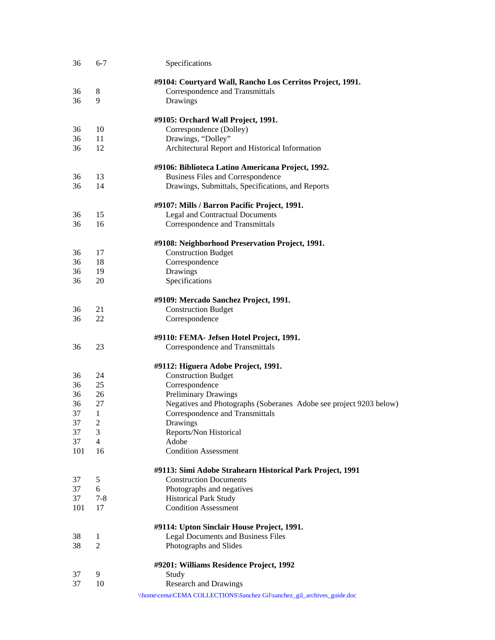| 36  | $6 - 7$        | Specifications                                                          |
|-----|----------------|-------------------------------------------------------------------------|
|     |                | #9104: Courtyard Wall, Rancho Los Cerritos Project, 1991.               |
| 36  | 8              | Correspondence and Transmittals                                         |
| 36  | 9              | Drawings                                                                |
|     |                |                                                                         |
|     |                | #9105: Orchard Wall Project, 1991.                                      |
| 36  | 10             | Correspondence (Dolley)                                                 |
| 36  | 11             | Drawings, "Dolley"                                                      |
| 36  | 12             | Architectural Report and Historical Information                         |
|     |                | #9106: Biblioteca Latino Americana Project, 1992.                       |
| 36  | 13             | Business Files and Correspondence                                       |
| 36  | 14             | Drawings, Submittals, Specifications, and Reports                       |
|     |                | #9107: Mills / Barron Pacific Project, 1991.                            |
| 36  | 15             | Legal and Contractual Documents                                         |
| 36  | 16             | Correspondence and Transmittals                                         |
|     |                | #9108: Neighborhood Preservation Project, 1991.                         |
| 36  | 17             | <b>Construction Budget</b>                                              |
| 36  | 18             | Correspondence                                                          |
| 36  | 19             | Drawings                                                                |
| 36  | 20             | Specifications                                                          |
|     |                |                                                                         |
|     |                | #9109: Mercado Sanchez Project, 1991.                                   |
| 36  | 21             | <b>Construction Budget</b>                                              |
| 36  | 22             | Correspondence                                                          |
|     |                | #9110: FEMA- Jefsen Hotel Project, 1991.                                |
| 36  | 23             | Correspondence and Transmittals                                         |
|     |                | #9112: Higuera Adobe Project, 1991.                                     |
| 36  | 24             | <b>Construction Budget</b>                                              |
| 36  | 25             | Correspondence                                                          |
| 36  | 26             | <b>Preliminary Drawings</b>                                             |
| 36  | 27             | Negatives and Photographs (Soberanes Adobe see project 9203 below)      |
| 37  | 1              | Correspondence and Transmittals                                         |
| 37  | $\overline{c}$ | Drawings                                                                |
| 37  | 3              | Reports/Non Historical                                                  |
| 37  | $\overline{4}$ | Adobe                                                                   |
| 101 | 16             | <b>Condition Assessment</b>                                             |
|     |                | #9113: Simi Adobe Strahearn Historical Park Project, 1991               |
| 37  | 5              | <b>Construction Documents</b>                                           |
| 37  | 6              | Photographs and negatives                                               |
| 37  | $7 - 8$        | <b>Historical Park Study</b>                                            |
| 101 | 17             | <b>Condition Assessment</b>                                             |
|     |                | #9114: Upton Sinclair House Project, 1991.                              |
| 38  | 1              | Legal Documents and Business Files                                      |
| 38  | 2              | Photographs and Slides                                                  |
|     |                | #9201: Williams Residence Project, 1992                                 |
| 37  | 9              | Study                                                                   |
| 37  | 10             | <b>Research and Drawings</b>                                            |
|     |                | \\home\cema\CEMA COLLECTIONS\Sanchez Gil\sanchez_gil_archives_guide.doc |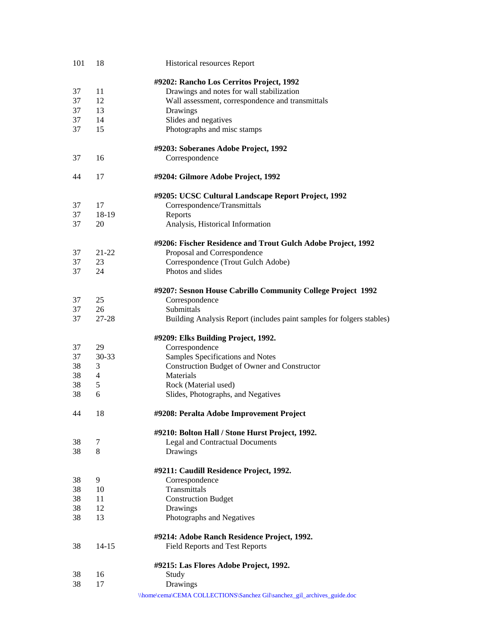| 101 | 18        | Historical resources Report                                                         |
|-----|-----------|-------------------------------------------------------------------------------------|
|     |           | #9202: Rancho Los Cerritos Project, 1992                                            |
| 37  | 11        | Drawings and notes for wall stabilization                                           |
| 37  | 12        | Wall assessment, correspondence and transmittals                                    |
| 37  | 13        |                                                                                     |
|     |           | Drawings                                                                            |
| 37  | 14        | Slides and negatives                                                                |
| 37  | 15        | Photographs and misc stamps                                                         |
|     |           | #9203: Soberanes Adobe Project, 1992                                                |
| 37  | 16        | Correspondence                                                                      |
| 44  | 17        | #9204: Gilmore Adobe Project, 1992                                                  |
|     |           | #9205: UCSC Cultural Landscape Report Project, 1992                                 |
| 37  | 17        | Correspondence/Transmittals                                                         |
| 37  | 18-19     | Reports                                                                             |
| 37  | 20        | Analysis, Historical Information                                                    |
|     |           |                                                                                     |
|     |           | #9206: Fischer Residence and Trout Gulch Adobe Project, 1992                        |
| 37  | $21 - 22$ | Proposal and Correspondence                                                         |
| 37  | 23        | Correspondence (Trout Gulch Adobe)                                                  |
| 37  | 24        | Photos and slides                                                                   |
|     |           | #9207: Sesnon House Cabrillo Community College Project 1992                         |
| 37  | 25        | Correspondence                                                                      |
| 37  | 26        | Submittals                                                                          |
| 37  | 27-28     | Building Analysis Report (includes paint samples for folgers stables)               |
|     |           |                                                                                     |
|     |           | #9209: Elks Building Project, 1992.                                                 |
| 37  | 29        | Correspondence                                                                      |
| 37  | 30-33     | Samples Specifications and Notes                                                    |
| 38  | 3         | Construction Budget of Owner and Constructor                                        |
| 38  | 4         | Materials                                                                           |
| 38  | 5         | Rock (Material used)                                                                |
| 38  | 6         | Slides, Photographs, and Negatives                                                  |
| 44  | 18        | #9208: Peralta Adobe Improvement Project                                            |
|     |           | #9210: Bolton Hall / Stone Hurst Project, 1992.                                     |
| 38  | 7         | <b>Legal and Contractual Documents</b>                                              |
| 38  | 8         | Drawings                                                                            |
|     |           |                                                                                     |
|     |           | #9211: Caudill Residence Project, 1992.                                             |
| 38  | 9         | Correspondence                                                                      |
| 38  | 10        | Transmittals                                                                        |
| 38  | 11        | <b>Construction Budget</b>                                                          |
| 38  | 12        | Drawings                                                                            |
| 38  | 13        | Photographs and Negatives                                                           |
|     |           | #9214: Adobe Ranch Residence Project, 1992.                                         |
| 38  | $14 - 15$ | Field Reports and Test Reports                                                      |
|     |           | #9215: Las Flores Adobe Project, 1992.                                              |
| 38  | 16        |                                                                                     |
| 38  | 17        | Study                                                                               |
|     |           | Drawings<br>\\home\cema\CEMA COLLECTIONS\Sanchez Gil\sanchez_gil_archives_guide.doc |
|     |           |                                                                                     |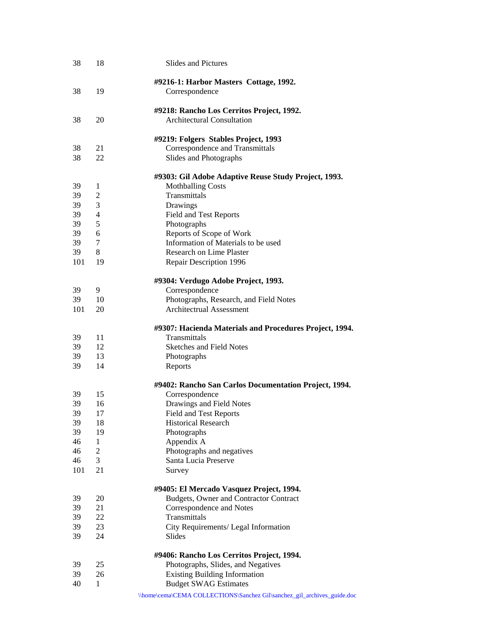| 38  | 18           | <b>Slides and Pictures</b>                                              |
|-----|--------------|-------------------------------------------------------------------------|
|     |              | #9216-1: Harbor Masters Cottage, 1992.                                  |
| 38  | 19           | Correspondence                                                          |
|     |              | #9218: Rancho Los Cerritos Project, 1992.                               |
| 38  | 20           | <b>Architectural Consultation</b>                                       |
|     |              | #9219: Folgers Stables Project, 1993                                    |
| 38  | 21           | Correspondence and Transmittals                                         |
| 38  | 22           | Slides and Photographs                                                  |
|     |              | #9303: Gil Adobe Adaptive Reuse Study Project, 1993.                    |
| 39  | 1            | <b>Mothballing Costs</b>                                                |
| 39  | 2            | Transmittals                                                            |
| 39  | 3            | Drawings                                                                |
| 39  | 4            | Field and Test Reports                                                  |
| 39  | 5            | Photographs                                                             |
| 39  | 6            | Reports of Scope of Work                                                |
| 39  | 7            | Information of Materials to be used                                     |
| 39  | 8            | Research on Lime Plaster                                                |
| 101 | 19           | Repair Description 1996                                                 |
|     |              | #9304: Verdugo Adobe Project, 1993.                                     |
| 39  | 9            | Correspondence                                                          |
| 39  | 10           | Photographs, Research, and Field Notes                                  |
| 101 | 20           | <b>Architectrual Assessment</b>                                         |
|     |              | #9307: Hacienda Materials and Procedures Project, 1994.                 |
| 39  | 11           | Transmittals                                                            |
| 39  | 12           | <b>Sketches and Field Notes</b>                                         |
| 39  | 13           | Photographs                                                             |
| 39  | 14           | Reports                                                                 |
|     |              | #9402: Rancho San Carlos Documentation Project, 1994.                   |
| 39  | 15           | Correspondence                                                          |
| 39  | 16           | Drawings and Field Notes                                                |
| 39  | 17           | Field and Test Reports                                                  |
| 39  | 18           | <b>Historical Research</b>                                              |
| 39  | 19           | Photographs                                                             |
| 46  | $\mathbf{1}$ | Appendix A                                                              |
| 46  | $\mathbf{2}$ | Photographs and negatives                                               |
| 46  | 3            | Santa Lucia Preserve                                                    |
| 101 | 21           | Survey                                                                  |
|     |              | #9405: El Mercado Vasquez Project, 1994.                                |
| 39  | 20           | Budgets, Owner and Contractor Contract                                  |
| 39  | 21           | Correspondence and Notes                                                |
| 39  | 22           | Transmittals                                                            |
| 39  | 23           | City Requirements/ Legal Information                                    |
| 39  | 24           | Slides                                                                  |
|     |              | #9406: Rancho Los Cerritos Project, 1994.                               |
| 39  | 25           | Photographs, Slides, and Negatives                                      |
| 39  | 26           | <b>Existing Building Information</b>                                    |
| 40  | $\mathbf{1}$ | <b>Budget SWAG Estimates</b>                                            |
|     |              | \\home\cema\CEMA COLLECTIONS\Sanchez Gil\sanchez_gil_archives_guide.doc |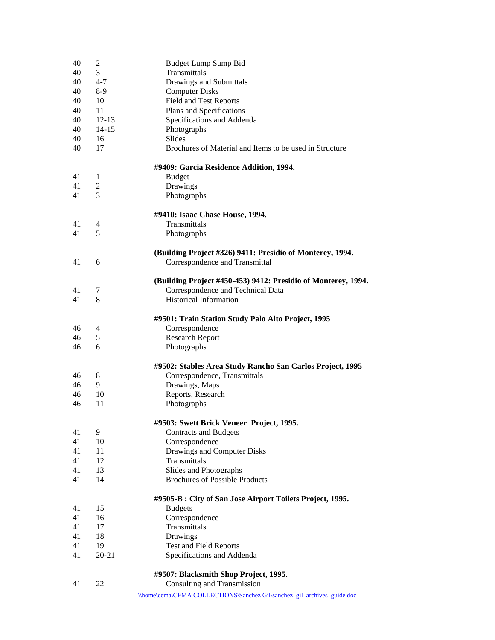| 40       | $\overline{c}$ | Budget Lump Sump Bid                                                    |
|----------|----------------|-------------------------------------------------------------------------|
| 40       | 3              | Transmittals                                                            |
| 40       | $4 - 7$        | Drawings and Submittals                                                 |
| 40       | $8-9$          | <b>Computer Disks</b>                                                   |
| 40       | 10             | <b>Field and Test Reports</b>                                           |
| 40       | 11             | Plans and Specifications                                                |
| 40       | $12 - 13$      | Specifications and Addenda                                              |
| 40       | $14 - 15$      | Photographs                                                             |
| 40       | 16             | Slides                                                                  |
| 40       | 17             | Brochures of Material and Items to be used in Structure                 |
|          |                | #9409: Garcia Residence Addition, 1994.                                 |
| 41       | 1              | <b>Budget</b>                                                           |
| 41       | 2              | Drawings                                                                |
| 41       | 3              | Photographs                                                             |
|          |                | #9410: Isaac Chase House, 1994.                                         |
| 41       | 4              | Transmittals                                                            |
| 41       | 5              | Photographs                                                             |
|          |                | (Building Project #326) 9411: Presidio of Monterey, 1994.               |
| 41       | 6              | Correspondence and Transmittal                                          |
|          |                | (Building Project #450-453) 9412: Presidio of Monterey, 1994.           |
| 41       | 7              | Correspondence and Technical Data                                       |
| 41       | 8              | <b>Historical Information</b>                                           |
|          |                | #9501: Train Station Study Palo Alto Project, 1995                      |
| 46       | 4              | Correspondence                                                          |
| 46       | 5              | <b>Research Report</b>                                                  |
| 46       | 6              | Photographs                                                             |
|          |                | #9502: Stables Area Study Rancho San Carlos Project, 1995               |
| 46       | 8              | Correspondence, Transmittals                                            |
| 46       | 9              | Drawings, Maps                                                          |
| 46       | 10             | Reports, Research                                                       |
| 46       | 11             | Photographs                                                             |
|          |                | #9503: Swett Brick Veneer Project, 1995.                                |
| 41       | 9              | <b>Contracts and Budgets</b>                                            |
| 41       | 10             | Correspondence                                                          |
| 41       | 11             | Drawings and Computer Disks                                             |
| 41       | 12             | Transmittals                                                            |
| 41       | 13<br>14       | Slides and Photographs<br><b>Brochures of Possible Products</b>         |
| 41       |                |                                                                         |
|          |                | #9505-B : City of San Jose Airport Toilets Project, 1995.               |
| 41       | 15             | <b>Budgets</b>                                                          |
| 41       | 16             | Correspondence<br>Transmittals                                          |
| 41       | 17             |                                                                         |
| 41<br>41 | 18<br>19       | Drawings                                                                |
|          |                | Test and Field Reports                                                  |
| 41       | $20 - 21$      | Specifications and Addenda                                              |
|          |                | #9507: Blacksmith Shop Project, 1995.                                   |
| 41       | 22             | <b>Consulting and Transmission</b>                                      |
|          |                | \\home\cema\CEMA COLLECTIONS\Sanchez Gil\sanchez_gil_archives_guide.doc |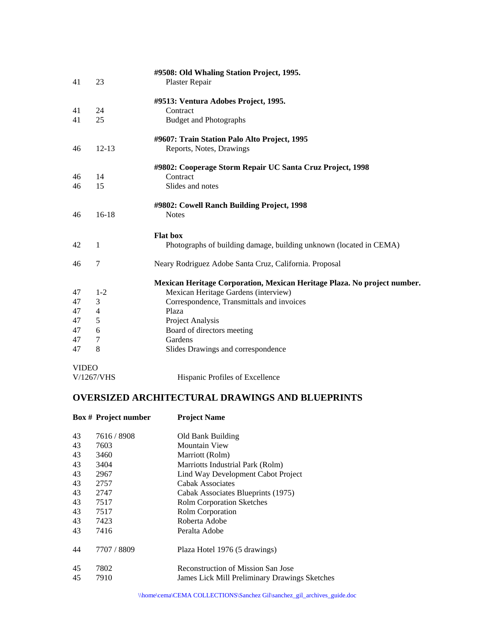|              |                          | #9508: Old Whaling Station Project, 1995.                                |
|--------------|--------------------------|--------------------------------------------------------------------------|
| 41           | 23                       | Plaster Repair                                                           |
|              |                          | #9513: Ventura Adobes Project, 1995.                                     |
| 41           | 24                       | Contract                                                                 |
| 41           | 25                       | <b>Budget and Photographs</b>                                            |
|              |                          | #9607: Train Station Palo Alto Project, 1995                             |
| 46           | $12 - 13$                | Reports, Notes, Drawings                                                 |
|              |                          | #9802: Cooperage Storm Repair UC Santa Cruz Project, 1998                |
| 46           | 14                       | Contract                                                                 |
| 46           | 15                       | Slides and notes                                                         |
|              |                          | #9802: Cowell Ranch Building Project, 1998                               |
| 46           | $16-18$                  | <b>Notes</b>                                                             |
|              |                          | <b>Flat box</b>                                                          |
| 42           | 1                        | Photographs of building damage, building unknown (located in CEMA)       |
| 46           | 7                        | Neary Rodriguez Adobe Santa Cruz, California. Proposal                   |
|              |                          | Mexican Heritage Corporation, Mexican Heritage Plaza. No project number. |
| 47           | $1 - 2$                  | Mexican Heritage Gardens (interview)                                     |
| 47           | 3                        | Correspondence, Transmittals and invoices                                |
| 47           | $\overline{\mathcal{L}}$ | Plaza                                                                    |
| 47           | 5                        | Project Analysis                                                         |
| 47           | 6                        | Board of directors meeting                                               |
| 47           | 7                        | Gardens                                                                  |
| 47           | 8                        | Slides Drawings and correspondence                                       |
| <b>VIDEO</b> |                          |                                                                          |
|              | V/1267/VHS               | Hispanic Profiles of Excellence                                          |

# **OVERSIZED ARCHITECTURAL DRAWINGS AND BLUEPRINTS**

| <b>Box # Project number</b> | <b>Project Name</b>                                                                 |
|-----------------------------|-------------------------------------------------------------------------------------|
| 7616/8908                   | Old Bank Building                                                                   |
| 7603                        | <b>Mountain View</b>                                                                |
| 3460                        | Marriott (Rolm)                                                                     |
| 3404                        | Marriotts Industrial Park (Rolm)                                                    |
| 2967                        | Lind Way Development Cabot Project                                                  |
| 2757                        | Cabak Associates                                                                    |
| 2747                        | Cabak Associates Blueprints (1975)                                                  |
| 7517                        | <b>Rolm Corporation Sketches</b>                                                    |
| 7517                        | Rolm Corporation                                                                    |
| 7423                        | Roberta Adobe                                                                       |
| 7416                        | Peralta Adobe                                                                       |
| 7707 / 8809                 | Plaza Hotel 1976 (5 drawings)                                                       |
| 7802<br>7910                | Reconstruction of Mission San Jose<br>James Lick Mill Preliminary Drawings Sketches |
|                             |                                                                                     |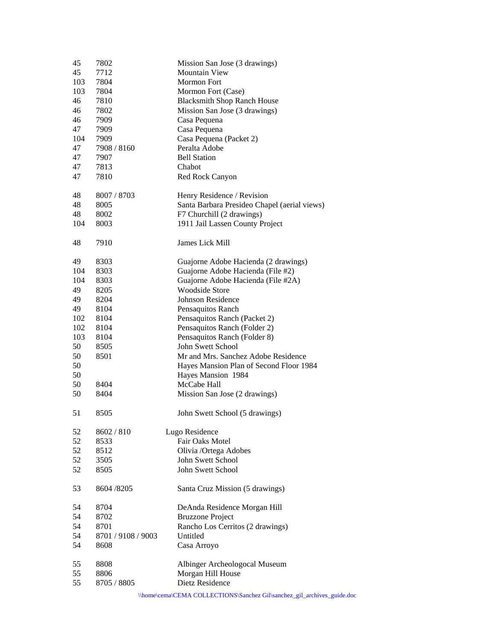| 45  | 7802               | Mission San Jose (3 drawings)                                           |
|-----|--------------------|-------------------------------------------------------------------------|
| 45  | 7712               | <b>Mountain View</b>                                                    |
| 103 | 7804               | <b>Mormon Fort</b>                                                      |
| 103 | 7804               | Mormon Fort (Case)                                                      |
| 46  | 7810               | <b>Blacksmith Shop Ranch House</b>                                      |
| 46  | 7802               | Mission San Jose (3 drawings)                                           |
|     |                    |                                                                         |
| 46  | 7909               | Casa Pequena                                                            |
| 47  | 7909               | Casa Pequena                                                            |
| 104 | 7909               | Casa Pequena (Packet 2)                                                 |
| 47  | 7908 / 8160        | Peralta Adobe                                                           |
| 47  | 7907               | <b>Bell Station</b>                                                     |
| 47  | 7813               | Chabot                                                                  |
| 47  | 7810               | Red Rock Canyon                                                         |
| 48  | 8007 / 8703        | Henry Residence / Revision                                              |
| 48  | 8005               | Santa Barbara Presideo Chapel (aerial views)                            |
| 48  | 8002               | F7 Churchill (2 drawings)                                               |
| 104 | 8003               | 1911 Jail Lassen County Project                                         |
|     |                    |                                                                         |
| 48  | 7910               | James Lick Mill                                                         |
| 49  | 8303               | Guajorne Adobe Hacienda (2 drawings)                                    |
| 104 | 8303               | Guajorne Adobe Hacienda (File #2)                                       |
| 104 | 8303               | Guajorne Adobe Hacienda (File #2A)                                      |
| 49  | 8205               | <b>Woodside Store</b>                                                   |
| 49  | 8204               | Johnson Residence                                                       |
| 49  | 8104               | Pensaquitos Ranch                                                       |
| 102 | 8104               | Pensaquitos Ranch (Packet 2)                                            |
| 102 | 8104               | Pensaquitos Ranch (Folder 2)                                            |
|     |                    |                                                                         |
| 103 | 8104               | Pensaquitos Ranch (Folder 8)                                            |
| 50  | 8505               | John Swett School                                                       |
| 50  | 8501               | Mr and Mrs. Sanchez Adobe Residence                                     |
| 50  |                    | Hayes Mansion Plan of Second Floor 1984                                 |
| 50  |                    | Hayes Mansion 1984                                                      |
| 50  | 8404               | McCabe Hall                                                             |
| 50  | 8404               | Mission San Jose (2 drawings)                                           |
| 51  | 8505               | John Swett School (5 drawings)                                          |
| 52  | 8602 / 810         | Lugo Residence                                                          |
| 52  | 8533               | Fair Oaks Motel                                                         |
| 52  | 8512               | Olivia /Ortega Adobes                                                   |
|     |                    |                                                                         |
| 52  | 3505               | John Swett School                                                       |
| 52  | 8505               | John Swett School                                                       |
| 53  | 8604 / 8205        | Santa Cruz Mission (5 drawings)                                         |
| 54  | 8704               | DeAnda Residence Morgan Hill                                            |
| 54  | 8702               | <b>Bruzzone Project</b>                                                 |
| 54  | 8701               | Rancho Los Cerritos (2 drawings)                                        |
| 54  | 8701 / 9108 / 9003 | Untitled                                                                |
| 54  | 8608               | Casa Arroyo                                                             |
| 55  | 8808               | Albinger Archeologocal Museum                                           |
| 55  | 8806               | Morgan Hill House                                                       |
| 55  | 8705 / 8805        | Dietz Residence                                                         |
|     |                    |                                                                         |
|     |                    | \\home\cema\CEMA COLLECTIONS\Sanchez Gil\sanchez_gil_archives_guide.doc |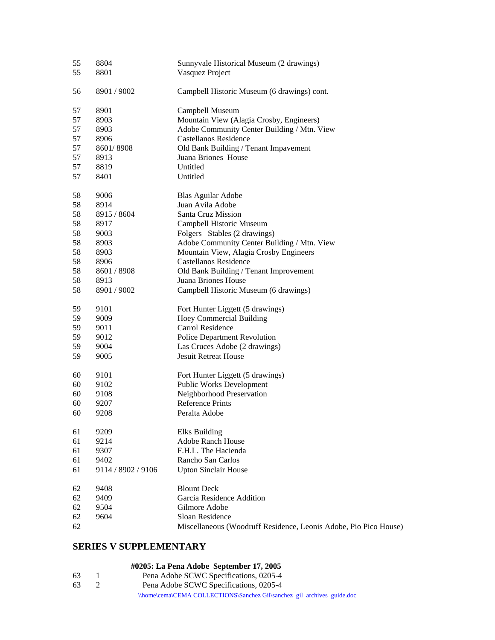| 55 | 8804               | Sunnyvale Historical Museum (2 drawings)                         |
|----|--------------------|------------------------------------------------------------------|
| 55 | 8801               | Vasquez Project                                                  |
|    |                    |                                                                  |
| 56 | 8901 / 9002        | Campbell Historic Museum (6 drawings) cont.                      |
|    |                    |                                                                  |
| 57 | 8901               | Campbell Museum                                                  |
| 57 | 8903               | Mountain View (Alagia Crosby, Engineers)                         |
| 57 | 8903               | Adobe Community Center Building / Mtn. View                      |
| 57 | 8906               | <b>Castellanos Residence</b>                                     |
| 57 | 8601/8908          | Old Bank Building / Tenant Impavement                            |
| 57 | 8913               | Juana Briones House                                              |
| 57 | 8819               | Untitled                                                         |
| 57 | 8401               | Untitled                                                         |
| 58 | 9006               | Blas Aguilar Adobe                                               |
| 58 | 8914               | Juan Avila Adobe                                                 |
| 58 | 8915 / 8604        | Santa Cruz Mission                                               |
| 58 | 8917               | Campbell Historic Museum                                         |
| 58 | 9003               | Folgers Stables (2 drawings)                                     |
| 58 | 8903               | Adobe Community Center Building / Mtn. View                      |
| 58 |                    |                                                                  |
|    | 8903               | Mountain View, Alagia Crosby Engineers                           |
| 58 | 8906               | Castellanos Residence                                            |
| 58 | 8601 / 8908        | Old Bank Building / Tenant Improvement                           |
| 58 | 8913               | Juana Briones House                                              |
| 58 | 8901 / 9002        | Campbell Historic Museum (6 drawings)                            |
| 59 | 9101               | Fort Hunter Liggett (5 drawings)                                 |
| 59 | 9009               | <b>Hoey Commercial Building</b>                                  |
| 59 | 9011               | Carrol Residence                                                 |
| 59 | 9012               | Police Department Revolution                                     |
| 59 | 9004               | Las Cruces Adobe (2 drawings)                                    |
| 59 | 9005               | <b>Jesuit Retreat House</b>                                      |
|    |                    |                                                                  |
| 60 | 9101               | Fort Hunter Liggett (5 drawings)                                 |
| 60 | 9102               | <b>Public Works Development</b>                                  |
| 60 | 9108               | Neighborhood Preservation                                        |
| 60 | 9207               | <b>Reference Prints</b>                                          |
| 60 | 9208               | Peralta Adobe                                                    |
| 61 | 9209               | <b>Elks Building</b>                                             |
| 61 | 9214               | Adobe Ranch House                                                |
| 61 | 9307               | F.H.L. The Hacienda                                              |
| 61 | 9402               | Rancho San Carlos                                                |
| 61 | 9114 / 8902 / 9106 | <b>Upton Sinclair House</b>                                      |
| 62 | 9408               | <b>Blount Deck</b>                                               |
| 62 | 9409               | Garcia Residence Addition                                        |
| 62 | 9504               | Gilmore Adobe                                                    |
| 62 | 9604               | Sloan Residence                                                  |
| 62 |                    | Miscellaneous (Woodruff Residence, Leonis Adobe, Pio Pico House) |
|    |                    |                                                                  |

# **SERIES V SUPPLEMENTARY**

# **#0205: La Pena Adobe September 17, 2005**

| 63 | Pena Adobe SCWC Specifications, 0205-4                                  |
|----|-------------------------------------------------------------------------|
| 63 | Pena Adobe SCWC Specifications, 0205-4                                  |
|    | \\home\cema\CEMA COLLECTIONS\Sanchez Gil\sanchez_gil_archives_guide.doc |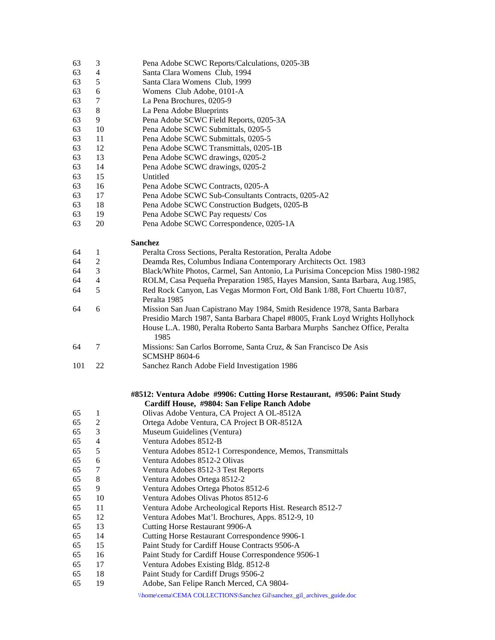- 63 3 Pena Adobe SCWC Reports/Calculations, 0205-3B
- 63 4 Santa Clara Womens Club, 1994
- 63 5 Santa Clara Womens Club, 1999
- 63 6 Womens Club Adobe, 0101-A
- 63 7 La Pena Brochures, 0205-9
- 63 8 La Pena Adobe Blueprints
- 63 9 Pena Adobe SCWC Field Reports, 0205-3A
- 63 10 Pena Adobe SCWC Submittals, 0205-5
- 63 11 Pena Adobe SCWC Submittals, 0205-5
- 63 12 Pena Adobe SCWC Transmittals, 0205-1B
- 63 13 Pena Adobe SCWC drawings, 0205-2
- 63 14 Pena Adobe SCWC drawings, 0205-2
- 63 15 Untitled
- 63 16 Pena Adobe SCWC Contracts, 0205-A
- 63 17 Pena Adobe SCWC Sub-Consultants Contracts, 0205-A2
- 63 18 Pena Adobe SCWC Construction Budgets, 0205-B
- 63 19 Pena Adobe SCWC Pay requests/ Cos
- 63 20 Pena Adobe SCWC Correspondence, 0205-1A

## **Sanchez**

| 64 |   | Peralta Cross Sections, Peralta Restoration, Peralta Adobe                            |
|----|---|---------------------------------------------------------------------------------------|
| 64 | 2 | Deamda Res, Columbus Indiana Contemporary Architects Oct. 1983                        |
| 64 | 3 | Black/White Photos, Carmel, San Antonio, La Purisima Concepcion Miss 1980-1982        |
| 64 | 4 | ROLM, Casa Pequeña Preparation 1985, Hayes Mansion, Santa Barbara, Aug. 1985,         |
| 64 | 5 | Red Rock Canyon, Las Vegas Mormon Fort, Old Bank 1/88, Fort Chuertu 10/87,            |
|    |   | Peralta 1985                                                                          |
| 64 | 6 | Mission San Juan Capistrano May 1984, Smith Residence 1978, Santa Barbara             |
|    |   | Presidio March 1987, Santa Barbara Chapel #8005, Frank Loyd Wrights Hollyhock         |
|    |   | House L.A. 1980, Peralta Roberto Santa Barbara Murphs Sanchez Office, Peralta<br>1985 |
| 64 |   | Missions: San Carlos Borrome, Santa Cruz, & San Francisco De Asis                     |
|    |   | <b>SCMSHP 8604-6</b>                                                                  |

101 22 Sanchez Ranch Adobe Field Investigation 1986

## **#8512: Ventura Adobe #9906: Cutting Horse Restaurant, #9506: Paint Study Cardiff House, #9804: San Felipe Ranch Adobe**

- 65 1 Olivas Adobe Ventura, CA Project A OL-8512A 65 2 Ortega Adobe Ventura, CA Project B OR-8512A 65 3 Museum Guidelines (Ventura) 65 4 Ventura Adobes 8512-B 65 5 Ventura Adobes 8512-1 Correspondence, Memos, Transmittals 65 6 Ventura Adobes 8512-2 Olivas 65 7 Ventura Adobes 8512-3 Test Reports 65 8 Ventura Adobes Ortega 8512-2 65 9 Ventura Adobes Ortega Photos 8512-6 65 10 Ventura Adobes Olivas Photos 8512-6 65 11 Ventura Adobe Archeological Reports Hist. Research 8512-7 65 12 Ventura Adobes Mat'l. Brochures, Apps. 8512-9, 10 65 13 Cutting Horse Restaurant 9906-A 65 14 Cutting Horse Restaurant Correspondence 9906-1 65 15 Paint Study for Cardiff House Contracts 9506-A 65 16 Paint Study for Cardiff House Correspondence 9506-1 65 17 Ventura Adobes Existing Bldg. 8512-8 65 18 Paint Study for Cardiff Drugs 9506-2
- 65 19 Adobe, San Felipe Ranch Merced, CA 9804-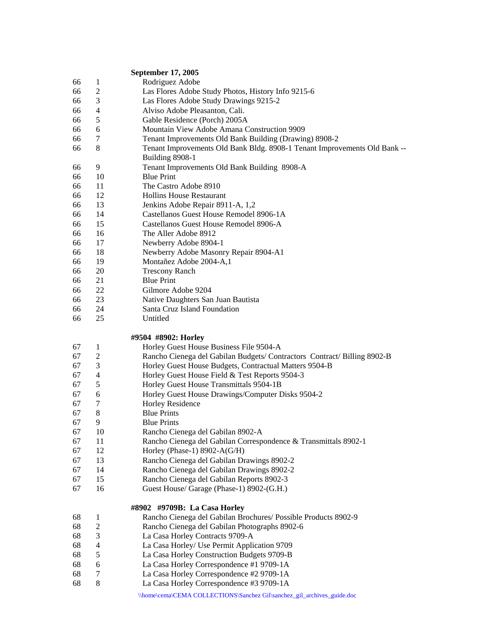### **September 17, 2005**

- 66 1 Rodriguez Adobe
- 66 2 Las Flores Adobe Study Photos, History Info 9215-6
- 66 3 Las Flores Adobe Study Drawings 9215-2
- 66 4 Alviso Adobe Pleasanton, Cali.
- 66 5 Gable Residence (Porch) 2005A
- 66 6 Mountain View Adobe Amana Construction 9909
- 66 7 Tenant Improvements Old Bank Building (Drawing) 8908-2
- 66 8 Tenant Improvements Old Bank Bldg. 8908-1 Tenant Improvements Old Bank --
- Building 8908-1
- 66 9 Tenant Improvements Old Bank Building 8908-A
- 66 10 Blue Print
- 66 11 The Castro Adobe 8910
- 66 12 Hollins House Restaurant
- 66 13 Jenkins Adobe Repair 8911-A, 1,2
- 66 14 Castellanos Guest House Remodel 8906-1A
- 66 15 Castellanos Guest House Remodel 8906-A
- 66 16 The Aller Adobe 8912
- 66 17 Newberry Adobe 8904-1
- 66 18 Newberry Adobe Masonry Repair 8904-A1
- 66 19 Montañez Adobe 2004-A,1
- 66 20 Trescony Ranch
- 66 21 Blue Print
- 66 22 Gilmore Adobe 9204
- 66 23 Native Daughters San Juan Bautista
- 66 24 Santa Cruz Island Foundation
- 66 25 Untitled

## **#9504 #8902: Horley**

- 67 1 Horley Guest House Business File 9504-A
- 67 2 Rancho Cienega del Gabilan Budgets/ Contractors Contract/ Billing 8902-B
- 67 3 Horley Guest House Budgets, Contractual Matters 9504-B
- 67 4 Horley Guest House Field & Test Reports 9504-3
- 67 5 Horley Guest House Transmittals 9504-1B
- 67 6 Horley Guest House Drawings/Computer Disks 9504-2
- 67 7 Horley Residence
- 67 8 Blue Prints
- 67 9 Blue Prints
- 67 10 Rancho Cienega del Gabilan 8902-A
- 67 11 Rancho Cienega del Gabilan Correspondence & Transmittals 8902-1
- 67 12 Horley (Phase-1) 8902-A(G/H)
- 67 13 Rancho Cienega del Gabilan Drawings 8902-2
- 67 14 Rancho Cienega del Gabilan Drawings 8902-2
- 67 15 Rancho Cienega del Gabilan Reports 8902-3
- 67 16 Guest House/ Garage (Phase-1) 8902-(G.H.)

#### **#8902 #9709B: La Casa Horley**

- 68 1 Rancho Cienega del Gabilan Brochures/ Possible Products 8902-9
- 68 2 Rancho Cienega del Gabilan Photographs 8902-6
- 68 3 La Casa Horley Contracts 9709-A
- 68 4 La Casa Horley/ Use Permit Application 9709
- 68 5 La Casa Horley Construction Budgets 9709-B
- 68 6 La Casa Horley Correspondence #1 9709-1A
- 68 7 La Casa Horley Correspondence #2 9709-1A
- 68 8 La Casa Horley Correspondence #3 9709-1A
	- \\home\cema\CEMA COLLECTIONS\Sanchez Gil\sanchez\_gil\_archives\_guide.doc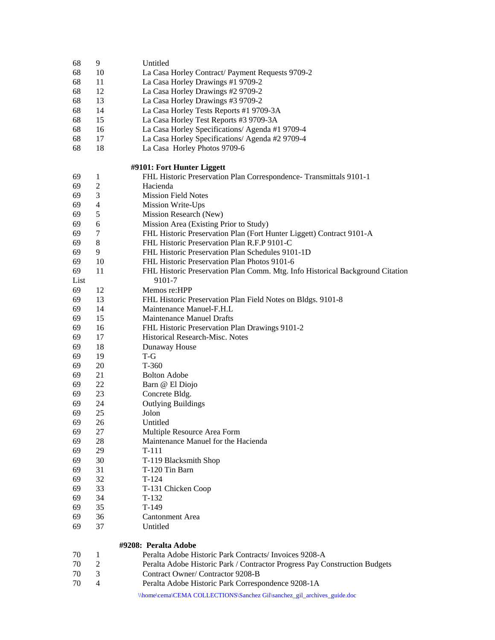| 68   | 9              | Untitled                                                                      |
|------|----------------|-------------------------------------------------------------------------------|
| 68   | 10             | La Casa Horley Contract/ Payment Requests 9709-2                              |
| 68   | 11             | La Casa Horley Drawings #1 9709-2                                             |
| 68   | 12             | La Casa Horley Drawings #2 9709-2                                             |
| 68   | 13             | La Casa Horley Drawings #3 9709-2                                             |
| 68   | 14             | La Casa Horley Tests Reports #1 9709-3A                                       |
| 68   | 15             | La Casa Horley Test Reports #3 9709-3A                                        |
| 68   | 16             | La Casa Horley Specifications/ Agenda #1 9709-4                               |
| 68   | 17             | La Casa Horley Specifications/ Agenda #2 9709-4                               |
| 68   | 18             | La Casa Horley Photos 9709-6                                                  |
|      |                |                                                                               |
|      |                | #9101: Fort Hunter Liggett                                                    |
| 69   | 1              | FHL Historic Preservation Plan Correspondence- Transmittals 9101-1            |
| 69   | $\mathfrak{2}$ | Hacienda                                                                      |
| 69   | 3              | <b>Mission Field Notes</b>                                                    |
| 69   | $\overline{4}$ | Mission Write-Ups                                                             |
| 69   | 5              | Mission Research (New)                                                        |
| 69   | 6              | Mission Area (Existing Prior to Study)                                        |
| 69   | 7              | FHL Historic Preservation Plan (Fort Hunter Liggett) Contract 9101-A          |
| 69   | $\,8\,$        | FHL Historic Preservation Plan R.F.P 9101-C                                   |
| 69   | 9              | FHL Historic Preservation Plan Schedules 9101-1D                              |
| 69   | 10             | FHL Historic Preservation Plan Photos 9101-6                                  |
| 69   | 11             | FHL Historic Preservation Plan Comm. Mtg. Info Historical Background Citation |
| List |                | 9101-7                                                                        |
| 69   | 12             | Memos re:HPP                                                                  |
| 69   | 13             | FHL Historic Preservation Plan Field Notes on Bldgs. 9101-8                   |
| 69   | 14             | Maintenance Manuel-F.H.L                                                      |
| 69   | 15             | Maintenance Manuel Drafts                                                     |
| 69   | 16             | FHL Historic Preservation Plan Drawings 9101-2                                |
| 69   | 17             | <b>Historical Research-Misc. Notes</b>                                        |
| 69   | 18             | Dunaway House                                                                 |
| 69   | 19             | $T-G$                                                                         |
| 69   | 20             | T-360                                                                         |
| 69   | 21             | <b>Bolton Adobe</b>                                                           |
| 69   | 22             | Barn @ El Diojo                                                               |
| 69   | 23             | Concrete Bldg.                                                                |
| 69   | 24             | <b>Outlying Buildings</b>                                                     |
| 69   | 25             | Jolon                                                                         |
| 69   | 26             | Untitled                                                                      |
| 69   | 27             | Multiple Resource Area Form                                                   |
| 69   | 28             | Maintenance Manuel for the Hacienda                                           |
| 69   | 29             | T-111                                                                         |
| 69   | 30             | T-119 Blacksmith Shop                                                         |
| 69   | 31             | T-120 Tin Barn                                                                |
| 69   | 32             | $T-124$                                                                       |
| 69   | 33             | T-131 Chicken Coop                                                            |
| 69   | 34             | $T-132$                                                                       |
| 69   | 35             | $T-149$                                                                       |
| 69   | 36             | Cantonment Area                                                               |
| 69   | 37             | Untitled                                                                      |
|      |                |                                                                               |
|      |                | #9208: Peralta Adobe                                                          |
| 70   | 1              | Peralta Adobe Historic Park Contracts/Invoices 9208-A                         |
| 70   | 2              | Peralta Adobe Historic Park / Contractor Progress Pay Construction Budgets    |
| 70   | 3              | Contract Owner/Contractor 9208-B                                              |
| 70   | 4              | Peralta Adobe Historic Park Correspondence 9208-1A                            |
|      |                | \\home\cema\CEMA COLLECTIONS\Sanchez Gil\sanchez_gil_archives_guide.doc       |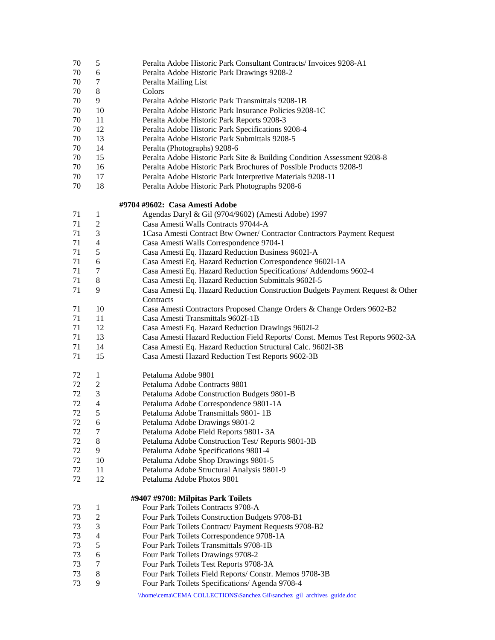- 70 5 Peralta Adobe Historic Park Consultant Contracts/ Invoices 9208-A1
- 70 6 Peralta Adobe Historic Park Drawings 9208-2
- 70 7 Peralta Mailing List
- 70 8 Colors
- 70 9 Peralta Adobe Historic Park Transmittals 9208-1B
- 70 10 Peralta Adobe Historic Park Insurance Policies 9208-1C
- 70 11 Peralta Adobe Historic Park Reports 9208-3
- 70 12 Peralta Adobe Historic Park Specifications 9208-4
- 70 13 Peralta Adobe Historic Park Submittals 9208-5
- 70 14 Peralta (Photographs) 9208-6
- 70 15 Peralta Adobe Historic Park Site & Building Condition Assessment 9208-8
- 70 16 Peralta Adobe Historic Park Brochures of Possible Products 9208-9
- 70 17 Peralta Adobe Historic Park Interpretive Materials 9208-11
- 70 18 Peralta Adobe Historic Park Photographs 9208-6

#### **#9704 #9602: Casa Amesti Adobe**

\\home\cema\CEMA COLLECTIONS\Sanchez Gil\sanchez\_gil\_archives\_guide.doc 71 1 Agendas Daryl & Gil (9704/9602) (Amesti Adobe) 1997 71 2 Casa Amesti Walls Contracts 97044-A 71 3 1Casa Amesti Contract Btw Owner/ Contractor Contractors Payment Request 71 4 Casa Amesti Walls Correspondence 9704-1 71 5 Casa Amesti Eq. Hazard Reduction Business 9602I-A 71 6 Casa Amesti Eq. Hazard Reduction Correspondence 9602I-1A 71 7 Casa Amesti Eq. Hazard Reduction Specifications/ Addendoms 9602-4 71 8 Casa Amesti Eq. Hazard Reduction Submittals 9602I-5 71 9 Casa Amesti Eq. Hazard Reduction Construction Budgets Payment Request & Other **Contracts** 71 10 Casa Amesti Contractors Proposed Change Orders & Change Orders 9602-B2 71 11 Casa Amesti Transmittals 9602I-1B 71 12 Casa Amesti Eq. Hazard Reduction Drawings 9602I-2 71 13 Casa Amesti Hazard Reduction Field Reports/ Const. Memos Test Reports 9602-3A 71 14 Casa Amesti Eq. Hazard Reduction Structural Calc. 9602I-3B 71 15 Casa Amesti Hazard Reduction Test Reports 9602-3B 72 1 Petaluma Adobe 9801 72 2 Petaluma Adobe Contracts 9801 72 3 Petaluma Adobe Construction Budgets 9801-B 72 4 Petaluma Adobe Correspondence 9801-1A 72 5 Petaluma Adobe Transmittals 9801- 1B 72 6 Petaluma Adobe Drawings 9801-2 72 7 Petaluma Adobe Field Reports 9801- 3A 72 8 Petaluma Adobe Construction Test/ Reports 9801-3B 72 9 Petaluma Adobe Specifications 9801-4 72 10 Petaluma Adobe Shop Drawings 9801-5 72 11 Petaluma Adobe Structural Analysis 9801-9 72 12 Petaluma Adobe Photos 9801 **#9407 #9708: Milpitas Park Toilets**  73 1 Four Park Toilets Contracts 9708-A 73 2 Four Park Toilets Construction Budgets 9708-B1 73 3 Four Park Toilets Contract/ Payment Requests 9708-B2 73 4 Four Park Toilets Correspondence 9708-1A 73 5 Four Park Toilets Transmittals 9708-1B 73 6 Four Park Toilets Drawings 9708-2 73 7 Four Park Toilets Test Reports 9708-3A 73 8 Four Park Toilets Field Reports/ Constr. Memos 9708-3B 73 9 Four Park Toilets Specifications/ Agenda 9708-4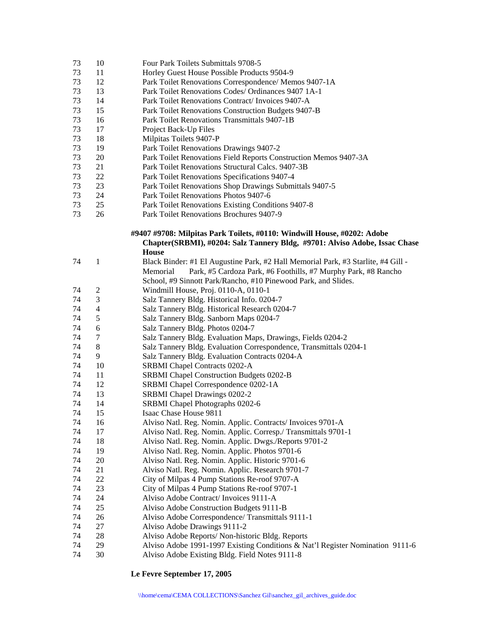| 73 | 10             | Four Park Toilets Submittals 9708-5                                                                                                                                   |
|----|----------------|-----------------------------------------------------------------------------------------------------------------------------------------------------------------------|
| 73 | 11             | Horley Guest House Possible Products 9504-9                                                                                                                           |
| 73 | 12             | Park Toilet Renovations Correspondence/ Memos 9407-1A                                                                                                                 |
| 73 | 13             | Park Toilet Renovations Codes/ Ordinances 9407 1A-1                                                                                                                   |
| 73 | 14             | Park Toilet Renovations Contract/ Invoices 9407-A                                                                                                                     |
| 73 | 15             | Park Toilet Renovations Construction Budgets 9407-B                                                                                                                   |
| 73 | 16             | Park Toilet Renovations Transmittals 9407-1B                                                                                                                          |
| 73 | 17             | Project Back-Up Files                                                                                                                                                 |
| 73 | 18             | Milpitas Toilets 9407-P                                                                                                                                               |
| 73 | 19             | Park Toilet Renovations Drawings 9407-2                                                                                                                               |
| 73 | 20             | Park Toilet Renovations Field Reports Construction Memos 9407-3A                                                                                                      |
| 73 | 21             | Park Toilet Renovations Structural Calcs. 9407-3B                                                                                                                     |
| 73 | 22             | Park Toilet Renovations Specifications 9407-4                                                                                                                         |
| 73 | 23             | Park Toilet Renovations Shop Drawings Submittals 9407-5                                                                                                               |
| 73 | 24             | Park Toilet Renovations Photos 9407-6                                                                                                                                 |
| 73 | 25             | Park Toilet Renovations Existing Conditions 9407-8                                                                                                                    |
| 73 | 26             | Park Toilet Renovations Brochures 9407-9                                                                                                                              |
|    |                | #9407 #9708: Milpitas Park Toilets, #0110: Windwill House, #0202: Adobe<br>Chapter(SRBMI), #0204: Salz Tannery Bldg, #9701: Alviso Adobe, Issac Chase<br><b>House</b> |
| 74 | 1              | Black Binder: #1 El Augustine Park, #2 Hall Memorial Park, #3 Starlite, #4 Gill -                                                                                     |
|    |                | Park, #5 Cardoza Park, #6 Foothills, #7 Murphy Park, #8 Rancho<br>Memorial                                                                                            |
|    |                | School, #9 Sinnott Park/Rancho, #10 Pinewood Park, and Slides.                                                                                                        |
| 74 | $\overline{c}$ | Windmill House, Proj. 0110-A, 0110-1                                                                                                                                  |
| 74 | 3              | Salz Tannery Bldg. Historical Info. 0204-7                                                                                                                            |
| 74 | 4              | Salz Tannery Bldg. Historical Research 0204-7                                                                                                                         |
| 74 | 5              | Salz Tannery Bldg. Sanborn Maps 0204-7                                                                                                                                |
| 74 | 6              | Salz Tannery Bldg. Photos 0204-7                                                                                                                                      |
| 74 | 7              | Salz Tannery Bldg. Evaluation Maps, Drawings, Fields 0204-2                                                                                                           |
| 74 | 8              | Salz Tannery Bldg. Evaluation Correspondence, Transmittals 0204-1                                                                                                     |
| 74 | 9              | Salz Tannery Bldg. Evaluation Contracts 0204-A                                                                                                                        |
| 74 | 10             | <b>SRBMI</b> Chapel Contracts 0202-A                                                                                                                                  |
| 74 | 11             | <b>SRBMI</b> Chapel Construction Budgets 0202-B                                                                                                                       |
| 74 | 12             | SRBMI Chapel Correspondence 0202-1A                                                                                                                                   |
| 74 | 13             | SRBMI Chapel Drawings 0202-2                                                                                                                                          |
| 74 | 14             | SRBMI Chapel Photographs 0202-6                                                                                                                                       |
| 74 | 15             | Isaac Chase House 9811                                                                                                                                                |
| 74 | 16             | Alviso Natl. Reg. Nomin. Applic. Contracts/ Invoices 9701-A                                                                                                           |
| 74 | 17             | Alviso Natl. Reg. Nomin. Applic. Corresp./ Transmittals 9701-1                                                                                                        |
| 74 | 18             | Alviso Natl. Reg. Nomin. Applic. Dwgs./Reports 9701-2                                                                                                                 |
| 74 | 19             | Alviso Natl. Reg. Nomin. Applic. Photos 9701-6                                                                                                                        |
| 74 | 20             | Alviso Natl. Reg. Nomin. Applic. Historic 9701-6                                                                                                                      |
| 74 | 21             | Alviso Natl. Reg. Nomin. Applic. Research 9701-7                                                                                                                      |
| 74 | 22             | City of Milpas 4 Pump Stations Re-roof 9707-A                                                                                                                         |
| 74 | 23             | City of Milpas 4 Pump Stations Re-roof 9707-1                                                                                                                         |
| 74 | 24             | Alviso Adobe Contract/ Invoices 9111-A                                                                                                                                |
| 74 | 25             | Alviso Adobe Construction Budgets 9111-B                                                                                                                              |
| 74 | 26             | Alviso Adobe Correspondence/ Transmittals 9111-1                                                                                                                      |
| 74 | 27             | Alviso Adobe Drawings 9111-2                                                                                                                                          |
| 74 | 28             | Alviso Adobe Reports/ Non-historic Bldg. Reports                                                                                                                      |
| 74 | 29             | Alviso Adobe 1991-1997 Existing Conditions & Nat'l Register Nomination 9111-6                                                                                         |
| 74 | 30             | Alviso Adobe Existing Bldg. Field Notes 9111-8                                                                                                                        |

**Le Fevre September 17, 2005**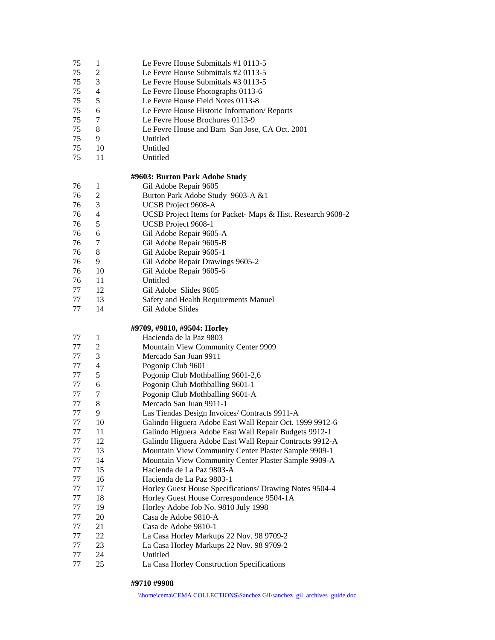- 75 1 Le Fevre House Submittals #1 0113-5
- 75 2 Le Fevre House Submittals #2 0113-5
- 75 3 Le Fevre House Submittals #3 0113-5
- 75 4 Le Fevre House Photographs 0113-6
- 75 5 Le Fevre House Field Notes 0113-8
- 75 6 Le Fevre House Historic Information/ Reports
- 75 7 Le Fevre House Brochures 0113-9
- 75 8 Le Fevre House and Barn San Jose, CA Oct. 2001
- 75 9 Untitled
- 75 10 Untitled
- 75 11 Untitled

## **#9603: Burton Park Adobe Study**

| 76<br>Gil Adobe Repair 9605 |  |
|-----------------------------|--|
|-----------------------------|--|

- 76 2 Burton Park Adobe Study 9603-A &1
- 76 3 UCSB Project 9608-A
- 76 4 UCSB Project Items for Packet- Maps & Hist. Research 9608-2
- 76 5 UCSB Project 9608-1
- 76 6 Gil Adobe Repair 9605-A
- 76 7 Gil Adobe Repair 9605-B
- 76 8 Gil Adobe Repair 9605-1
- 76 9 Gil Adobe Repair Drawings 9605-2
- 76 10 Gil Adobe Repair 9605-6
- 76 11 Untitled
- 77 12 Gil Adobe Slides 9605
- 77 13 Safety and Health Requirements Manuel
- 77 14 Gil Adobe Slides

## **#9709, #9810, #9504: Horley**

- 77 1 Hacienda de la Paz 9803
- 77 2 Mountain View Community Center 9909
- 77 3 Mercado San Juan 9911
- 77 4 Pogonip Club 9601
- 77 5 Pogonip Club Mothballing 9601-2,6
- 77 6 Pogonip Club Mothballing 9601-1
- 77 7 Pogonip Club Mothballing 9601-A
- 77 8 Mercado San Juan 9911-1
- 77 9 Las Tiendas Design Invoices/ Contracts 9911-A
- 77 10 Galindo Higuera Adobe East Wall Repair Oct. 1999 9912-6
- 77 11 Galindo Higuera Adobe East Wall Repair Budgets 9912-1
- 77 12 Galindo Higuera Adobe East Wall Repair Contracts 9912-A
- 77 13 Mountain View Community Center Plaster Sample 9909-1
- 77 14 Mountain View Community Center Plaster Sample 9909-A
- 77 15 Hacienda de La Paz 9803-A
- 77 16 Hacienda de La Paz 9803-1
- 77 17 Horley Guest House Specifications/ Drawing Notes 9504-4
- 77 18 Horley Guest House Correspondence 9504-1A
- 77 19 Horley Adobe Job No. 9810 July 1998
- 77 20 Casa de Adobe 9810-A
- 77 21 Casa de Adobe 9810-1
- 77 22 La Casa Horley Markups 22 Nov. 98 9709-2
- 77 23 La Casa Horley Markups 22 Nov. 98 9709-2
- 77 24 Untitled
- 77 25 La Casa Horley Construction Specifications

## **#9710 #9908**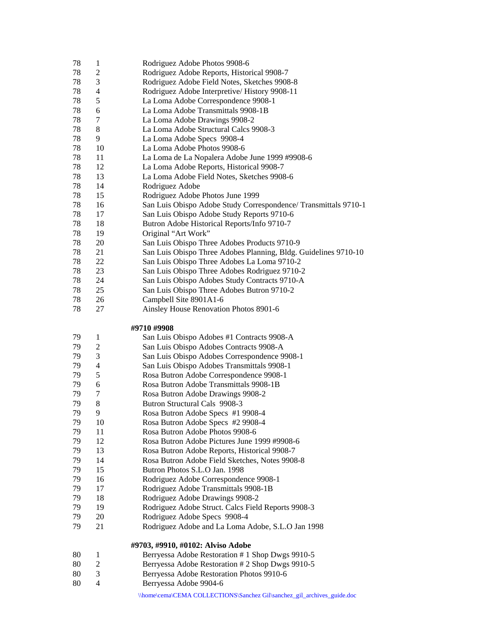- 78 1 Rodriguez Adobe Photos 9908-6
- 78 2 Rodriguez Adobe Reports, Historical 9908-7
- 78 3 Rodriguez Adobe Field Notes, Sketches 9908-8
- 78 4 Rodriguez Adobe Interpretive/ History 9908-11
- 78 5 La Loma Adobe Correspondence 9908-1
- 78 6 La Loma Adobe Transmittals 9908-1B
- 78 7 La Loma Adobe Drawings 9908-2
- 78 8 La Loma Adobe Structural Calcs 9908-3
- 78 9 La Loma Adobe Specs 9908-4
- 78 10 La Loma Adobe Photos 9908-6
- 78 11 La Loma de La Nopalera Adobe June 1999 #9908-6
- 78 12 La Loma Adobe Reports, Historical 9908-7
- 78 13 La Loma Adobe Field Notes, Sketches 9908-6
- 78 14 Rodriguez Adobe
- 78 15 Rodriguez Adobe Photos June 1999
- 78 16 San Luis Obispo Adobe Study Correspondence/ Transmittals 9710-1
- 78 17 San Luis Obispo Adobe Study Reports 9710-6
- 78 18 Butron Adobe Historical Reports/Info 9710-7
- 78 19 Original "Art Work"
- 78 20 San Luis Obispo Three Adobes Products 9710-9
- 78 21 San Luis Obispo Three Adobes Planning, Bldg. Guidelines 9710-10
- 78 22 San Luis Obispo Three Adobes La Loma 9710-2
- 78 23 San Luis Obispo Three Adobes Rodriguez 9710-2
- 78 24 San Luis Obispo Adobes Study Contracts 9710-A
- 78 25 San Luis Obispo Three Adobes Butron 9710-2
- 78 26 Campbell Site 8901A1-6
- 78 27 Ainsley House Renovation Photos 8901-6

## **#9710 #9908**

79 1 San Luis Obispo Adobes #1 Contracts 9908-A 79 2 San Luis Obispo Adobes Contracts 9908-A 79 3 San Luis Obispo Adobes Correspondence 9908-1 79 4 San Luis Obispo Adobes Transmittals 9908-1 79 5 Rosa Butron Adobe Correspondence 9908-1 79 6 Rosa Butron Adobe Transmittals 9908-1B 79 7 Rosa Butron Adobe Drawings 9908-2 79 8 Butron Structural Cals 9908-3 79 9 Rosa Butron Adobe Specs #1 9908-4 79 10 Rosa Butron Adobe Specs #2 9908-4 79 11 Rosa Butron Adobe Photos 9908-6 79 12 Rosa Butron Adobe Pictures June 1999 #9908-6 79 13 Rosa Butron Adobe Reports, Historical 9908-7 79 14 Rosa Butron Adobe Field Sketches, Notes 9908-8 79 15 Butron Photos S.L.O Jan. 1998 79 16 Rodriguez Adobe Correspondence 9908-1 79 17 Rodriguez Adobe Transmittals 9908-1B 79 18 Rodriguez Adobe Drawings 9908-2 79 19 Rodriguez Adobe Struct. Calcs Field Reports 9908-3 79 20 Rodriguez Adobe Specs 9908-4 79 21 Rodriguez Adobe and La Loma Adobe, S.L.O Jan 1998

#### **#9703, #9910, #0102: Alviso Adobe**

- 80 1 Berryessa Adobe Restoration # 1 Shop Dwgs 9910-5
- 80 2 Berryessa Adobe Restoration # 2 Shop Dwgs 9910-5
- 80 3 Berryessa Adobe Restoration Photos 9910-6
- 80 4 Berryessa Adobe 9904-6
	- \\home\cema\CEMA COLLECTIONS\Sanchez Gil\sanchez\_gil\_archives\_guide.doc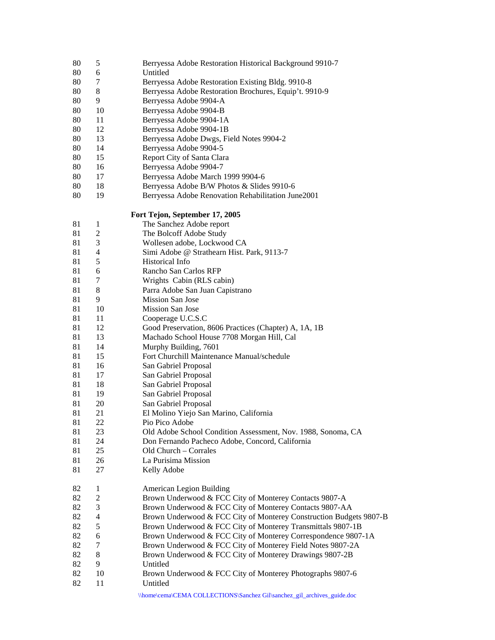| 80       | 5                              | Berryessa Adobe Restoration Historical Background 9910-7                           |
|----------|--------------------------------|------------------------------------------------------------------------------------|
| 80       | 6                              | Untitled                                                                           |
| 80       | 7                              | Berryessa Adobe Restoration Existing Bldg. 9910-8                                  |
| 80       | 8                              | Berryessa Adobe Restoration Brochures, Equip't. 9910-9                             |
| 80       | 9                              | Berryessa Adobe 9904-A                                                             |
| 80       | 10                             | Berryessa Adobe 9904-B                                                             |
| 80       | 11                             | Berryessa Adobe 9904-1A                                                            |
| 80       | 12                             | Berryessa Adobe 9904-1B                                                            |
| 80       | 13                             | Berryessa Adobe Dwgs, Field Notes 9904-2                                           |
| 80       | 14                             | Berryessa Adobe 9904-5                                                             |
| 80       | 15                             | Report City of Santa Clara                                                         |
| 80       | 16                             | Berryessa Adobe 9904-7                                                             |
| 80       | 17                             | Berryessa Adobe March 1999 9904-6                                                  |
| 80       | 18                             | Berryessa Adobe B/W Photos & Slides 9910-6                                         |
| 80       | 19                             | Berryessa Adobe Renovation Rehabilitation June2001                                 |
|          |                                | Fort Tejon, September 17, 2005                                                     |
| 81       | $\mathbf{1}$                   | The Sanchez Adobe report                                                           |
| 81       | $\overline{c}$                 | The Bolcoff Adobe Study                                                            |
| 81       | 3                              | Wollesen adobe, Lockwood CA                                                        |
| 81       | 4                              | Simi Adobe @ Strathearn Hist. Park, 9113-7                                         |
| 81       | 5                              | Historical Info                                                                    |
| 81       | 6                              | Rancho San Carlos RFP                                                              |
| 81       | 7                              | Wrights Cabin (RLS cabin)                                                          |
| 81       | 8                              | Parra Adobe San Juan Capistrano                                                    |
| 81       | 9                              | Mission San Jose                                                                   |
| 81       | 10                             | Mission San Jose                                                                   |
| 81       | 11                             | Cooperage U.C.S.C                                                                  |
| 81       | 12                             | Good Preservation, 8606 Practices (Chapter) A, 1A, 1B                              |
| 81       | 13                             | Machado School House 7708 Morgan Hill, Cal                                         |
| 81       | 14                             | Murphy Building, 7601                                                              |
| 81       | 15                             | Fort Churchill Maintenance Manual/schedule                                         |
| 81       | 16                             | San Gabriel Proposal                                                               |
| 81       | 17                             | San Gabriel Proposal                                                               |
| 81       | 18                             | San Gabriel Proposal                                                               |
| 81       | 19                             | San Gabriel Proposal                                                               |
| 81       | 20                             | San Gabriel Proposal                                                               |
| 81       | 21                             | El Molino Yiejo San Marino, California                                             |
| 81       | 22                             | Pio Pico Adobe                                                                     |
| 81       | 23                             | Old Adobe School Condition Assessment, Nov. 1988, Sonoma, CA                       |
| 81       | 24                             | Don Fernando Pacheco Adobe, Concord, California                                    |
| 81       | 25                             | Old Church – Corrales                                                              |
| 81<br>81 | 26<br>27                       | La Purisima Mission<br>Kelly Adobe                                                 |
|          |                                |                                                                                    |
| 82<br>82 | $\mathbf{1}$<br>$\overline{c}$ | American Legion Building<br>Brown Underwood & FCC City of Monterey Contacts 9807-A |
| 82       | 3                              | Brown Underwood & FCC City of Monterey Contacts 9807-AA                            |
| 82       | 4                              | Brown Underwood & FCC City of Monterey Construction Budgets 9807-B                 |
| 82       | 5                              | Brown Underwood & FCC City of Monterey Transmittals 9807-1B                        |
| 82       | 6                              | Brown Underwood & FCC City of Monterey Correspondence 9807-1A                      |
| 82       | 7                              | Brown Underwood & FCC City of Monterey Field Notes 9807-2A                         |
| 82       | 8                              | Brown Underwood & FCC City of Monterey Drawings 9807-2B                            |
| 82       | 9                              | Untitled                                                                           |
| 82       | 10                             | Brown Underwood & FCC City of Monterey Photographs 9807-6                          |
| 82       | 11                             | Untitled                                                                           |
|          |                                |                                                                                    |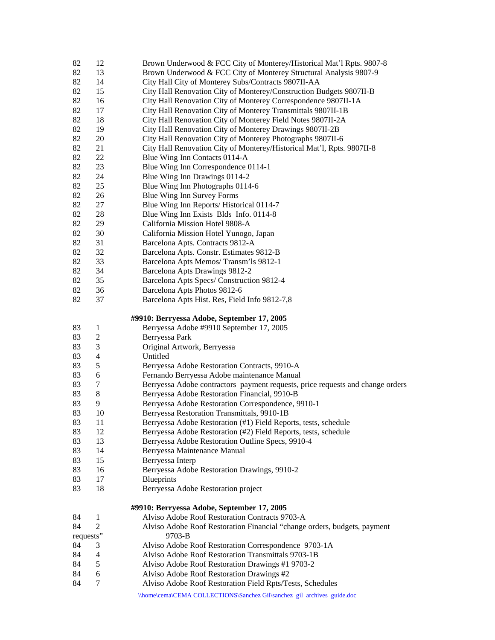| 82        | 12                       | Brown Underwood & FCC City of Monterey/Historical Mat'l Rpts. 9807-8           |
|-----------|--------------------------|--------------------------------------------------------------------------------|
| 82        | 13                       | Brown Underwood & FCC City of Monterey Structural Analysis 9807-9              |
| 82        | 14                       | City Hall City of Monterey Subs/Contracts 9807II-AA                            |
| 82        | 15                       | City Hall Renovation City of Monterey/Construction Budgets 9807II-B            |
| 82        | 16                       | City Hall Renovation City of Monterey Correspondence 9807II-1A                 |
| 82        | 17                       | City Hall Renovation City of Monterey Transmittals 9807II-1B                   |
| 82        | 18                       | City Hall Renovation City of Monterey Field Notes 9807II-2A                    |
| 82        | 19                       | City Hall Renovation City of Monterey Drawings 9807II-2B                       |
| 82        | 20                       | City Hall Renovation City of Monterey Photographs 9807II-6                     |
| 82        | 21                       | City Hall Renovation City of Monterey/Historical Mat'l, Rpts. 9807II-8         |
| 82        | 22                       | Blue Wing Inn Contacts 0114-A                                                  |
| 82        | 23                       | Blue Wing Inn Correspondence 0114-1                                            |
| 82        | 24                       | Blue Wing Inn Drawings 0114-2                                                  |
| 82        | 25                       | Blue Wing Inn Photographs 0114-6                                               |
| 82        |                          |                                                                                |
|           | 26                       | Blue Wing Inn Survey Forms                                                     |
| 82        | 27                       | Blue Wing Inn Reports/ Historical 0114-7                                       |
| 82        | 28                       | Blue Wing Inn Exists Blds Info. 0114-8                                         |
| 82        | 29                       | California Mission Hotel 9808-A                                                |
| 82        | 30                       | California Mission Hotel Yunogo, Japan                                         |
| 82        | 31                       | Barcelona Apts. Contracts 9812-A                                               |
| 82        | 32                       | Barcelona Apts. Constr. Estimates 9812-B                                       |
| 82        | 33                       | Barcelona Apts Memos/Transm'ls 9812-1                                          |
| 82        | 34                       | Barcelona Apts Drawings 9812-2                                                 |
| 82        | 35                       | Barcelona Apts Specs/ Construction 9812-4                                      |
| 82        | 36                       | Barcelona Apts Photos 9812-6                                                   |
| 82        | 37                       | Barcelona Apts Hist. Res, Field Info 9812-7,8                                  |
|           |                          |                                                                                |
|           |                          | #9910: Berryessa Adobe, September 17, 2005                                     |
|           |                          |                                                                                |
| 83        | $\mathbf{1}$             | Berryessa Adobe #9910 September 17, 2005                                       |
| 83        | $\overline{c}$           | Berryessa Park                                                                 |
| 83        | $\mathfrak{Z}$           | Original Artwork, Berryessa                                                    |
| 83        | $\overline{\mathcal{L}}$ | Untitled                                                                       |
| 83        | 5                        | Berryessa Adobe Restoration Contracts, 9910-A                                  |
| 83        | $\boldsymbol{6}$         | Fernando Berryessa Adobe maintenance Manual                                    |
| 83        | 7                        | Berryessa Adobe contractors payment requests, price requests and change orders |
| 83        | 8                        | Berryessa Adobe Restoration Financial, 9910-B                                  |
| 83        | 9                        | Berryessa Adobe Restoration Correspondence, 9910-1                             |
| 83        | 10                       | Berryessa Restoration Transmittals, 9910-1B                                    |
| 83        | 11                       | Berryessa Adobe Restoration (#1) Field Reports, tests, schedule                |
| 83        | 12                       | Berryessa Adobe Restoration (#2) Field Reports, tests, schedule                |
| 83        | 13                       | Berryessa Adobe Restoration Outline Specs, 9910-4                              |
| 83        | 14                       | Berryessa Maintenance Manual                                                   |
| 83        | 15                       | Berryessa Interp                                                               |
| 83        | 16                       | Berryessa Adobe Restoration Drawings, 9910-2                                   |
| 83        | 17                       | <b>Blueprints</b>                                                              |
| 83        | 18                       | Berryessa Adobe Restoration project                                            |
|           |                          |                                                                                |
|           |                          | #9910: Berryessa Adobe, September 17, 2005                                     |
| 84        | 1                        | Alviso Adobe Roof Restoration Contracts 9703-A                                 |
| 84        | $\overline{2}$           | Alviso Adobe Roof Restoration Financial "change orders, budgets, payment       |
| requests" |                          | 9703-B                                                                         |
| 84        | 3                        | Alviso Adobe Roof Restoration Correspondence 9703-1A                           |
| 84        | 4                        | Alviso Adobe Roof Restoration Transmittals 9703-1B                             |
| 84        | 5                        | Alviso Adobe Roof Restoration Drawings #1 9703-2                               |
| 84        | 6                        | Alviso Adobe Roof Restoration Drawings #2                                      |
| 84        | 7                        | Alviso Adobe Roof Restoration Field Rpts/Tests, Schedules                      |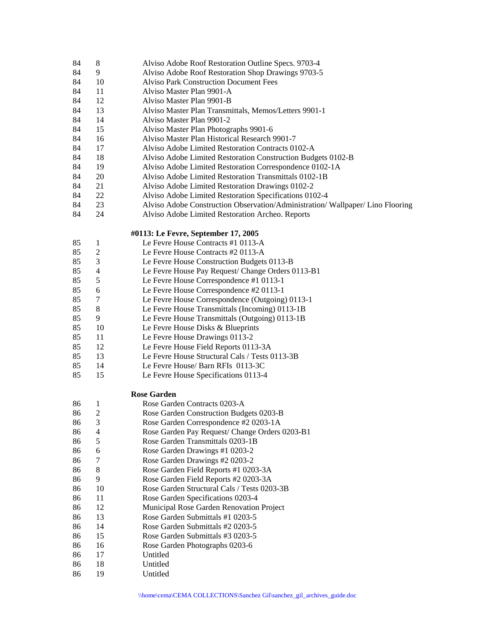| 84 |  | Alviso Adobe Roof Restoration Outline Specs. 9703-4 |
|----|--|-----------------------------------------------------|
|----|--|-----------------------------------------------------|

- 84 9 Alviso Adobe Roof Restoration Shop Drawings 9703-5
- 84 10 Alviso Park Construction Document Fees
- 84 11 Alviso Master Plan 9901-A
- 84 12 Alviso Master Plan 9901-B
- 84 13 Alviso Master Plan Transmittals, Memos/Letters 9901-1
- 84 14 Alviso Master Plan 9901-2
- 84 15 Alviso Master Plan Photographs 9901-6
- 84 16 Alviso Master Plan Historical Research 9901-7
- 84 17 Alviso Adobe Limited Restoration Contracts 0102-A
- 84 18 Alviso Adobe Limited Restoration Construction Budgets 0102-B
- 84 19 Alviso Adobe Limited Restoration Correspondence 0102-1A
- 84 20 Alviso Adobe Limited Restoration Transmittals 0102-1B
- 84 21 Alviso Adobe Limited Restoration Drawings 0102-2
- 84 22 Alviso Adobe Limited Restoration Specifications 0102-4
- 84 23 Alviso Adobe Construction Observation/Administration/ Wallpaper/ Lino Flooring
- 84 24 Alviso Adobe Limited Restoration Archeo. Reports

### **#0113: Le Fevre, September 17, 2005**

- 85 1 Le Fevre House Contracts #1 0113-A 85 2 Le Fevre House Contracts #2 0113-A 85 3 Le Fevre House Construction Budgets 0113-B 85 4 Le Fevre House Pay Request/ Change Orders 0113-B1 85 5 Le Fevre House Correspondence #1 0113-1 85 6 Le Fevre House Correspondence #2 0113-1 85 7 Le Fevre House Correspondence (Outgoing) 0113-1 85 8 Le Fevre House Transmittals (Incoming) 0113-1B 85 9 Le Fevre House Transmittals (Outgoing) 0113-1B 85 10 Le Fevre House Disks & Blueprints 85 11 Le Fevre House Drawings 0113-2 85 12 Le Fevre House Field Reports 0113-3A 85 13 Le Fevre House Structural Cals / Tests 0113-3B
- 
- 85 14 Le Fevre House/ Barn RFIs 0113-3C
- 85 15 Le Fevre House Specifications 0113-4

## **Rose Garden**

- 86 1 Rose Garden Contracts 0203-A 86 2 Rose Garden Construction Budgets 0203-B 86 3 Rose Garden Correspondence #2 0203-1A 86 4 Rose Garden Pay Request/ Change Orders 0203-B1 86 5 Rose Garden Transmittals 0203-1B 86 6 Rose Garden Drawings #1 0203-2 86 7 Rose Garden Drawings #2 0203-2 86 8 Rose Garden Field Reports #1 0203-3A 86 9 Rose Garden Field Reports #2 0203-3A 86 10 Rose Garden Structural Cals / Tests 0203-3B 86 11 Rose Garden Specifications 0203-4 86 12 Municipal Rose Garden Renovation Project 86 13 Rose Garden Submittals #1 0203-5 86 14 Rose Garden Submittals #2 0203-5 86 15 Rose Garden Submittals #3 0203-5 86 16 Rose Garden Photographs 0203-6 86 17 Untitled 86 18 Untitled
- 86 19 Untitled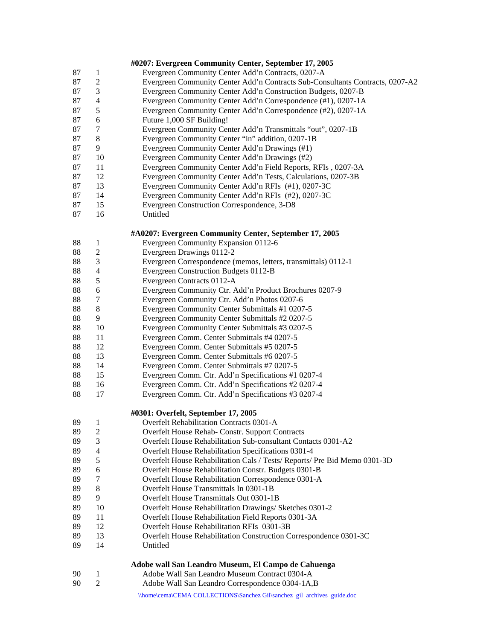|    |                | #0207: Evergreen Community Center, September 17, 2005                         |
|----|----------------|-------------------------------------------------------------------------------|
| 87 | 1              | Evergreen Community Center Add'n Contracts, 0207-A                            |
| 87 | $\overline{c}$ | Evergreen Community Center Add'n Contracts Sub-Consultants Contracts, 0207-A2 |
| 87 | $\mathfrak 3$  | Evergreen Community Center Add'n Construction Budgets, 0207-B                 |
| 87 | $\overline{4}$ | Evergreen Community Center Add'n Correspondence (#1), 0207-1A                 |
| 87 | 5              | Evergreen Community Center Add'n Correspondence (#2), 0207-1A                 |
| 87 | 6              | Future 1,000 SF Building!                                                     |
| 87 | 7              | Evergreen Community Center Add'n Transmittals "out", 0207-1B                  |
| 87 | $\,8\,$        | Evergreen Community Center "in" addition, 0207-1B                             |
| 87 | 9              | Evergreen Community Center Add'n Drawings (#1)                                |
| 87 | 10             | Evergreen Community Center Add'n Drawings (#2)                                |
| 87 | 11             | Evergreen Community Center Add'n Field Reports, RFIs, 0207-3A                 |
| 87 | 12             | Evergreen Community Center Add'n Tests, Calculations, 0207-3B                 |
| 87 | 13             | Evergreen Community Center Add'n RFIs (#1), 0207-3C                           |
| 87 | 14             | Evergreen Community Center Add'n RFIs (#2), 0207-3C                           |
| 87 | 15             | Evergreen Construction Correspondence, 3-D8                                   |
| 87 | 16             | Untitled                                                                      |
|    |                |                                                                               |
|    |                | #A0207: Evergreen Community Center, September 17, 2005                        |
| 88 | $\mathbf{1}$   | Evergreen Community Expansion 0112-6                                          |
| 88 | $\overline{c}$ | Evergreen Drawings 0112-2                                                     |
| 88 | 3              | Evergreen Correspondence (memos, letters, transmittals) 0112-1                |
| 88 | $\overline{4}$ | Evergreen Construction Budgets 0112-B                                         |
| 88 | 5              | Evergreen Contracts 0112-A                                                    |
| 88 | 6              | Evergreen Community Ctr. Add'n Product Brochures 0207-9                       |
| 88 | 7              | Evergreen Community Ctr. Add'n Photos 0207-6                                  |
| 88 | 8              | Evergreen Community Center Submittals #1 0207-5                               |
| 88 | 9              | Evergreen Community Center Submittals #2 0207-5                               |
| 88 | 10             | Evergreen Community Center Submittals #3 0207-5                               |
| 88 | 11             | Evergreen Comm. Center Submittals #4 0207-5                                   |
| 88 | 12             | Evergreen Comm. Center Submittals #5 0207-5                                   |
| 88 | 13             | Evergreen Comm. Center Submittals #6 0207-5                                   |
| 88 | 14             | Evergreen Comm. Center Submittals #7 0207-5                                   |
| 88 | 15             | Evergreen Comm. Ctr. Add'n Specifications #1 0207-4                           |
| 88 | 16             | Evergreen Comm. Ctr. Add'n Specifications #2 0207-4                           |
| 88 | 17             | Evergreen Comm. Ctr. Add'n Specifications #3 0207-4                           |
|    |                | #0301: Overfelt, September 17, 2005                                           |
| 89 | $\mathbf{1}$   | Overfelt Rehabilitation Contracts 0301-A                                      |
| 89 | 2              | Overfelt House Rehab- Constr. Support Contracts                               |
| 89 | 3              | Overfelt House Rehabilitation Sub-consultant Contacts 0301-A2                 |
| 89 | $\overline{4}$ | Overfelt House Rehabilitation Specifications 0301-4                           |
| 89 | 5              | Overfelt House Rehabilitation Cals / Tests/ Reports/ Pre Bid Memo 0301-3D     |
| 89 | 6              | Overfelt House Rehabilitation Constr. Budgets 0301-B                          |
| 89 | 7              | Overfelt House Rehabilitation Correspondence 0301-A                           |
| 89 | $\,8\,$        | Overfelt House Transmittals In 0301-1B                                        |
| 89 | 9              | Overfelt House Transmittals Out 0301-1B                                       |
| 89 | 10             | Overfelt House Rehabilitation Drawings/ Sketches 0301-2                       |
| 89 | 11             | Overfelt House Rehabilitation Field Reports 0301-3A                           |
| 89 | 12             | Overfelt House Rehabilitation RFIs 0301-3B                                    |
| 89 | 13             | Overfelt House Rehabilitation Construction Correspondence 0301-3C             |
| 89 | 14             | Untitled                                                                      |
|    |                |                                                                               |
|    |                | Adobe wall San Leandro Museum, El Campo de Cahuenga                           |
| 90 | 1              | Adobe Wall San Leandro Museum Contract 0304-A                                 |
| 90 | $\mathfrak{2}$ | Adobe Wall San Leandro Correspondence 0304-1A, B                              |
|    |                | \\home\cema\CEMA COLLECTIONS\Sanchez Gil\sanchez_gil_archives_guide.doc       |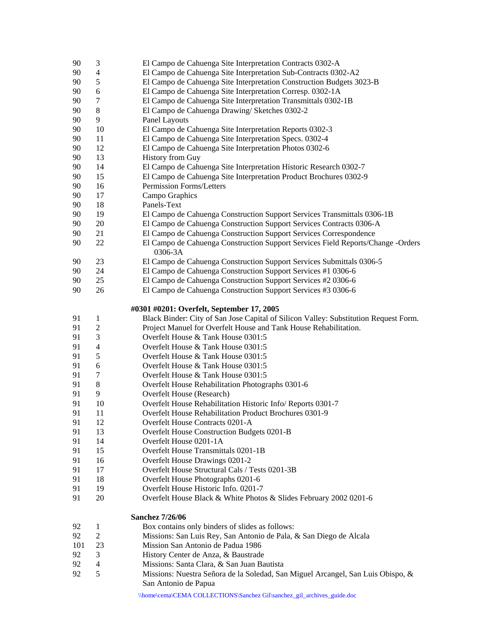| 90  | 3                       | El Campo de Cahuenga Site Interpretation Contracts 0302-A                                               |
|-----|-------------------------|---------------------------------------------------------------------------------------------------------|
| 90  | 4                       | El Campo de Cahuenga Site Interpretation Sub-Contracts 0302-A2                                          |
| 90  | 5                       | El Campo de Cahuenga Site Interpretation Construction Budgets 3023-B                                    |
| 90  | 6                       | El Campo de Cahuenga Site Interpretation Corresp. 0302-1A                                               |
| 90  | 7                       | El Campo de Cahuenga Site Interpretation Transmittals 0302-1B                                           |
| 90  | 8                       | El Campo de Cahuenga Drawing/ Sketches 0302-2                                                           |
| 90  | 9                       | Panel Layouts                                                                                           |
| 90  | 10                      | El Campo de Cahuenga Site Interpretation Reports 0302-3                                                 |
| 90  | 11                      | El Campo de Cahuenga Site Interpretation Specs. 0302-4                                                  |
| 90  | 12                      | El Campo de Cahuenga Site Interpretation Photos 0302-6                                                  |
| 90  | 13                      | <b>History from Guy</b>                                                                                 |
| 90  | 14                      | El Campo de Cahuenga Site Interpretation Historic Research 0302-7                                       |
| 90  | 15                      | El Campo de Cahuenga Site Interpretation Product Brochures 0302-9                                       |
| 90  | 16                      | Permission Forms/Letters                                                                                |
| 90  | 17                      | Campo Graphics                                                                                          |
| 90  | 18                      | Panels-Text                                                                                             |
| 90  | 19                      | El Campo de Cahuenga Construction Support Services Transmittals 0306-1B                                 |
| 90  | $20\,$                  | El Campo de Cahuenga Construction Support Services Contracts 0306-A                                     |
| 90  | 21                      | El Campo de Cahuenga Construction Support Services Correspondence                                       |
| 90  | 22                      | El Campo de Cahuenga Construction Support Services Field Reports/Change -Orders<br>0306-3A              |
| 90  | 23                      | El Campo de Cahuenga Construction Support Services Submittals 0306-5                                    |
| 90  | 24                      | El Campo de Cahuenga Construction Support Services #1 0306-6                                            |
| 90  | 25                      | El Campo de Cahuenga Construction Support Services #2 0306-6                                            |
| 90  | 26                      | El Campo de Cahuenga Construction Support Services #3 0306-6                                            |
|     |                         |                                                                                                         |
|     |                         | #0301 #0201: Overfelt, September 17, 2005                                                               |
| 91  | 1                       |                                                                                                         |
|     |                         | Black Binder: City of San Jose Capital of Silicon Valley: Substitution Request Form.                    |
| 91  | $\mathfrak{2}$          | Project Manuel for Overfelt House and Tank House Rehabilitation.                                        |
| 91  | 3                       | Overfelt House & Tank House 0301:5                                                                      |
| 91  | $\overline{4}$          | Overfelt House & Tank House 0301:5                                                                      |
| 91  | 5                       | Overfelt House & Tank House 0301:5                                                                      |
| 91  | 6                       | Overfelt House & Tank House 0301:5                                                                      |
| 91  | 7                       | Overfelt House & Tank House 0301:5                                                                      |
| 91  | $8\,$                   | Overfelt House Rehabilitation Photographs 0301-6                                                        |
| 91  | 9                       | Overfelt House (Research)                                                                               |
| 91  | 10                      | Overfelt House Rehabilitation Historic Info/ Reports 0301-7                                             |
| 91  | 11                      | <b>Overfelt House Rehabilitation Product Brochures 0301-9</b>                                           |
| 91  | 12                      | Overfelt House Contracts 0201-A                                                                         |
| 91  | 13                      | Overfelt House Construction Budgets 0201-B                                                              |
| 91  | 14                      | Overfelt House 0201-1A                                                                                  |
| 91  | 15                      | Overfelt House Transmittals 0201-1B                                                                     |
| 91  | 16                      | Overfelt House Drawings 0201-2                                                                          |
| 91  | 17                      | Overfelt House Structural Cals / Tests 0201-3B                                                          |
| 91  | 18                      | Overfelt House Photographs 0201-6                                                                       |
| 91  | 19                      | Overfelt House Historic Info. 0201-7                                                                    |
| 91  | 20                      | Overfelt House Black & White Photos & Slides February 2002 0201-6                                       |
|     |                         | <b>Sanchez 7/26/06</b>                                                                                  |
| 92  | 1                       | Box contains only binders of slides as follows:                                                         |
| 92  | $\mathbf{2}$            | Missions: San Luis Rey, San Antonio de Pala, & San Diego de Alcala                                      |
| 101 | 23                      | Mission San Antonio de Padua 1986                                                                       |
| 92  | 3                       | History Center de Anza, & Baustrade                                                                     |
| 92  | $\overline{\mathbf{4}}$ | Missions: Santa Clara, & San Juan Bautista                                                              |
| 92  | 5                       | Missions: Nuestra Señora de la Soledad, San Miguel Arcangel, San Luis Obispo, &<br>San Antonio de Papua |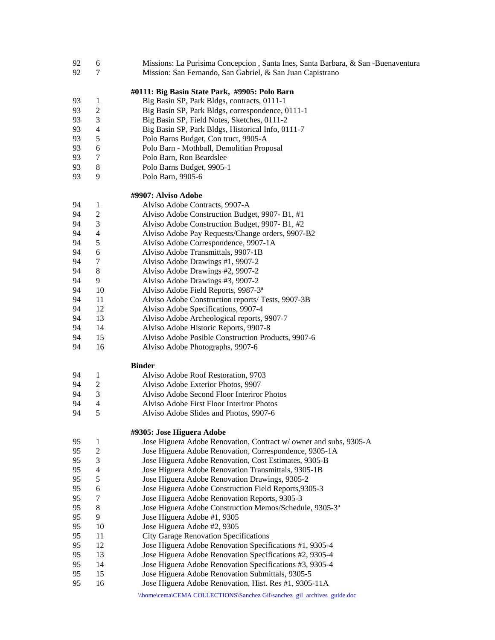- 92 6 Missions: La Purisima Concepcion , Santa Ines, Santa Barbara, & San -Buenaventura
- 92 7 Mission: San Fernando, San Gabriel, & San Juan Capistrano

#### **#0111: Big Basin State Park, #9905: Polo Barn**

- 93 1 Big Basin SP, Park Bldgs, contracts, 0111-1
- 93 2 Big Basin SP, Park Bldgs, correspondence, 0111-1
- 93 3 Big Basin SP, Field Notes, Sketches, 0111-2
- 93 4 Big Basin SP, Park Bldgs, Historical Info, 0111-7
- 93 5 Polo Barns Budget, Con truct, 9905-A
- 93 6 Polo Barn Mothball, Demolitian Proposal
- 93 7 Polo Barn, Ron Beardslee
- 93 8 Polo Barns Budget, 9905-1
- 93 9 Polo Barn, 9905-6

### **#9907: Alviso Adobe**

- 94 1 Alviso Adobe Contracts, 9907-A
- 94 2 Alviso Adobe Construction Budget, 9907- B1, #1
- 94 3 Alviso Adobe Construction Budget, 9907- B1, #2
- 94 4 Alviso Adobe Pay Requests/Change orders, 9907-B2
- 94 5 Alviso Adobe Correspondence, 9907-1A
- 94 6 Alviso Adobe Transmittals, 9907-1B
- 94 7 Alviso Adobe Drawings #1, 9907-2
- 94 8 Alviso Adobe Drawings #2, 9907-2
- 94 9 Alviso Adobe Drawings #3, 9907-2
- 94 10 Alviso Adobe Field Reports, 9987-3<sup>a</sup>
- 94 11 Alviso Adobe Construction reports/ Tests, 9907-3B
- 94 12 Alviso Adobe Specifications, 9907-4
- 94 13 Alviso Adobe Archeological reports, 9907-7
- 94 14 Alviso Adobe Historic Reports, 9907-8
- 94 15 Alviso Adobe Posible Construction Products, 9907-6
- 94 16 Alviso Adobe Photographs, 9907-6

#### **Binder**

| 94            |               | Alviso Adobe Roof Restoration, 9703        |
|---------------|---------------|--------------------------------------------|
| 94            | $\mathcal{L}$ | Alviso Adobe Exterior Photos, 9907         |
| 94            | $\mathcal{L}$ | Alviso Adobe Second Floor Interiror Photos |
| 94            | Δ             | Alviso Adobe First Floor Interiror Photos  |
| $\sim$ $\sim$ |               | $\cdots$ $\cdots$                          |

94 5 Alviso Adobe Slides and Photos, 9907-6

### **#9305: Jose Higuera Adobe**

| 95 |    | Jose Higuera Adobe Renovation, Contract w/ owner and subs, 9305-A   |
|----|----|---------------------------------------------------------------------|
| 95 | 2  | Jose Higuera Adobe Renovation, Correspondence, 9305-1A              |
| 95 | 3  | Jose Higuera Adobe Renovation, Cost Estimates, 9305-B               |
| 95 | 4  | Jose Higuera Adobe Renovation Transmittals, 9305-1B                 |
| 95 | 5  | Jose Higuera Adobe Renovation Drawings, 9305-2                      |
| 95 | 6  | Jose Higuera Adobe Construction Field Reports, 9305-3               |
| 95 | 7  | Jose Higuera Adobe Renovation Reports, 9305-3                       |
| 95 | 8  | Jose Higuera Adobe Construction Memos/Schedule, 9305-3 <sup>a</sup> |
| 95 | 9  | Jose Higuera Adobe #1, 9305                                         |
| 95 | 10 | Jose Higuera Adobe #2, 9305                                         |
| 95 | 11 | <b>City Garage Renovation Specifications</b>                        |
| 95 | 12 | Jose Higuera Adobe Renovation Specifications #1, 9305-4             |
| 95 | 13 | Jose Higuera Adobe Renovation Specifications #2, 9305-4             |
| 95 | 14 | Jose Higuera Adobe Renovation Specifications #3, 9305-4             |
| 95 | 15 | Jose Higuera Adobe Renovation Submittals, 9305-5                    |
| 95 | 16 | Jose Higuera Adobe Renovation, Hist. Res #1, 9305-11A               |
|    |    |                                                                     |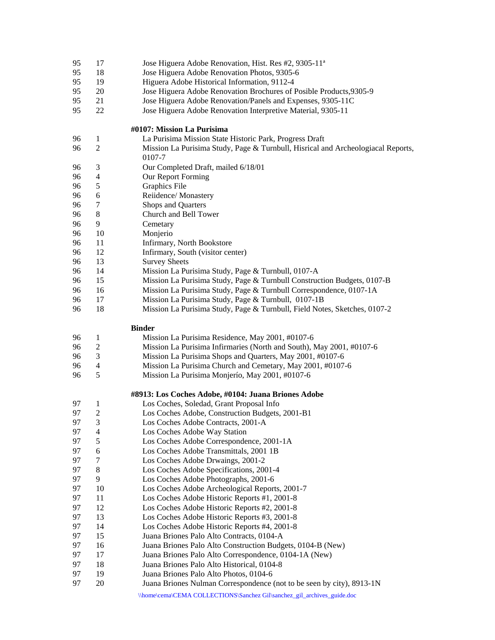- 95 17 Jose Higuera Adobe Renovation, Hist. Res #2, 9305-11<sup>a</sup>
- 95 18 Jose Higuera Adobe Renovation Photos, 9305-6
- 95 19 Higuera Adobe Historical Information, 9112-4
- 95 20 Jose Higuera Adobe Renovation Brochures of Posible Products,9305-9
- 95 21 Jose Higuera Adobe Renovation/Panels and Expenses, 9305-11C
- 95 22 Jose Higuera Adobe Renovation Interpretive Material, 9305-11

### **#0107: Mission La Purisima**

- 96 1 La Purisima Mission State Historic Park, Progress Draft
- 96 2 Mission La Purisima Study, Page & Turnbull, Hisrical and Archeologiacal Reports,
- 0107-7
- 96 3 Our Completed Draft, mailed 6/18/01
- 96 4 Our Report Forming
- 96 5 Graphics File
- 96 6 Reiidence/ Monastery
- 96 7 Shops and Quarters
- 96 8 Church and Bell Tower
- 96 9 Cemetary
- 96 10 Monjerio
- 96 11 Infirmary, North Bookstore
- 96 12 Infirmary, South (visitor center)
- 96 13 Survey Sheets
- 96 14 Mission La Purisima Study, Page & Turnbull, 0107-A
- 96 15 Mission La Purisima Study, Page & Turnbull Construction Budgets, 0107-B
- 96 16 Mission La Purisima Study, Page & Turnbull Correspondence, 0107-1A
- 96 17 Mission La Purisima Study, Page & Turnbull, 0107-1B
- 96 18 Mission La Purisima Study, Page & Turnbull, Field Notes, Sketches, 0107-2

### **Binder**

| Mission La Purisima Residence, May 2001, #0107-6 |
|--------------------------------------------------|
|                                                  |

- 96 2 Mission La Purisima Infirmaries (North and South), May 2001, #0107-6
- 96 3 Mission La Purisima Shops and Quarters, May 2001, #0107-6
- 96 4 Mission La Purisima Church and Cemetary, May 2001, #0107-6
- 96 5 Mission La Purisima Monjerío, May 2001, #0107-6

#### **#8913: Los Coches Adobe, #0104: Juana Briones Adobe**

97 1 Los Coches, Soledad, Grant Proposal Info 97 2 Los Coches Adobe, Construction Budgets, 2001-B1 97 3 Los Coches Adobe Contracts, 2001-A 97 4 Los Coches Adobe Way Station 97 5 Los Coches Adobe Correspondence, 2001-1A 97 6 Los Coches Adobe Transmittals, 2001 1B 97 7 Los Coches Adobe Drwaings, 2001-2 97 8 Los Coches Adobe Specifications, 2001-4 97 9 Los Coches Adobe Photographs, 2001-6 97 10 Los Coches Adobe Archeological Reports, 2001-7 97 11 Los Coches Adobe Historic Reports #1, 2001-8 97 12 Los Coches Adobe Historic Reports #2, 2001-8 97 13 Los Coches Adobe Historic Reports #3, 2001-8 97 14 Los Coches Adobe Historic Reports #4, 2001-8 97 15 Juana Briones Palo Alto Contracts, 0104-A 97 16 Juana Briones Palo Alto Construction Budgets, 0104-B (New) 97 17 Juana Briones Palo Alto Correspondence, 0104-1A (New) 97 18 Juana Briones Palo Alto Historical, 0104-8 97 19 Juana Briones Palo Alto Photos, 0104-6 97 20 Juana Briones Nulman Correspondence (not to be seen by city), 8913-1N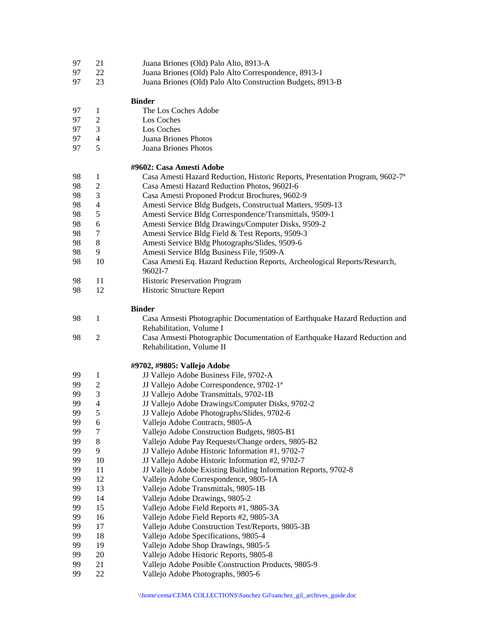- 97 21 Juana Briones (Old) Palo Alto, 8913-A
- 97 22 Juana Briones (Old) Palo Alto Correspondence, 8913-1
- 97 23 Juana Briones (Old) Palo Alto Construction Budgets, 8913-B

#### **Binder**

- 97 1 The Los Coches Adobe
- 97 2 Los Coches
- 97 3 Los Coches
- 97 4 Juana Briones Photos
- 97 5 Juana Briones Photos

## **#9602: Casa Amesti Adobe**

- 98 1 Casa Amesti Hazard Reduction, Historic Reports, Presentation Program, 9602-7ª
- 98 2 Casa Amesti Hazard Reduction Photos, 9602I-6
- 98 3 Casa Amesti Proponed Prodcut Brochures, 9602-9
- 98 4 Amesti Service Bldg Budgets, Constructual Matters, 9509-13
- 98 5 Amesti Service Bldg Correspondence/Transmittals, 9509-1
- 98 6 Amesti Service Bldg Drawings/Computer Disks, 9509-2
- 98 7 Amesti Service Bldg Field & Test Reports, 9509-3
- 98 8 Amesti Service Bldg Photographs/Slides, 9509-6
- 98 9 Amesti Service Bldg Business File, 9509-A
- 98 10 Casa Amesti Eq. Hazard Reduction Reports, Archeological Reports/Research, 9602I-7
- 98 11 Historic Preservation Program
- 98 12 Historic Structure Report

#### **Binder**

- 98 1 Casa Amsesti Photographic Documentation of Earthquake Hazard Reduction and Rehabilitation, Volume I 98 2 Casa Amsesti Photographic Documentation of Earthquake Hazard Reduction and
- Rehabilitation, Volume II

#### **#9702, #9805: Vallejo Adobe**

99 1 JJ Vallejo Adobe Business File, 9702-A 99 2 JJ Vallejo Adobe Correspondence, 9702-1<sup>a</sup> 99 3 JJ Vallejo Adobe Transmittals, 9702-1B 99 4 JJ Vallejo Adobe Drawings/Computer Disks, 9702-2<br>99 5 JJ Vallejo Adobe Photographs/Slides, 9702-6 99 5 JJ Vallejo Adobe Photographs/Slides, 9702-6 99 6 Vallejo Adobe Contracts, 9805-A 99 7 Vallejo Adobe Construction Budgets, 9805-B1 99 8 Vallejo Adobe Pay Requests/Change orders, 9805-B2 99 9 JJ Vallejo Adobe Historic Information #1, 9702-7 99 10 JJ Vallejo Adobe Historic Information #2, 9702-7 99 11 JJ Vallejo Adobe Existing Building Information Reports, 9702-8 99 12 Vallejo Adobe Correspondence, 9805-1A 99 13 Vallejo Adobe Transmittals, 9805-1B 99 14 Vallejo Adobe Drawings, 9805-2 99 15 Vallejo Adobe Field Reports #1, 9805-3A 99 16 Vallejo Adobe Field Reports #2, 9805-3A 99 17 Vallejo Adobe Construction Test/Reports, 9805-3B 99 18 Vallejo Adobe Specifications, 9805-4 99 19 Vallejo Adobe Shop Drawings, 9805-5 99 20 Vallejo Adobe Historic Reports, 9805-8 99 21 Vallejo Adobe Posible Construction Products, 9805-9 99 22 Vallejo Adobe Photographs, 9805-6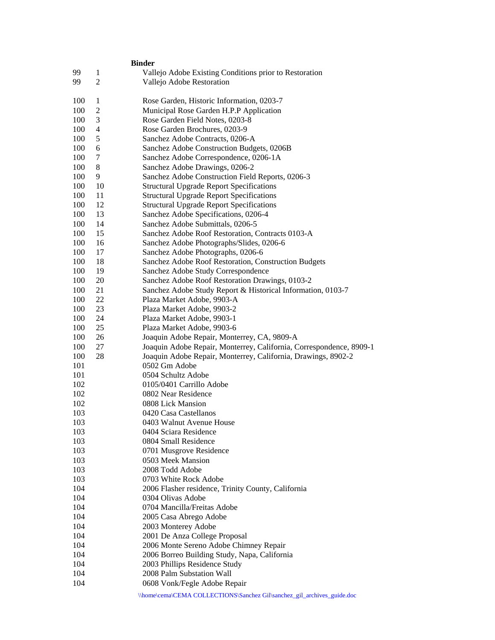|                | <b>Binder</b>                                                                                                                                                            |
|----------------|--------------------------------------------------------------------------------------------------------------------------------------------------------------------------|
| 1              | Vallejo Adobe Existing Conditions prior to Restoration                                                                                                                   |
| $\overline{c}$ | Vallejo Adobe Restoration                                                                                                                                                |
|                | Rose Garden, Historic Information, 0203-7                                                                                                                                |
|                | Municipal Rose Garden H.P.P Application                                                                                                                                  |
|                |                                                                                                                                                                          |
|                | Rose Garden Field Notes, 0203-8                                                                                                                                          |
|                | Rose Garden Brochures, 0203-9                                                                                                                                            |
|                | Sanchez Adobe Contracts, 0206-A                                                                                                                                          |
|                | Sanchez Adobe Construction Budgets, 0206B                                                                                                                                |
|                | Sanchez Adobe Correspondence, 0206-1A                                                                                                                                    |
|                | Sanchez Adobe Drawings, 0206-2                                                                                                                                           |
|                | Sanchez Adobe Construction Field Reports, 0206-3                                                                                                                         |
|                | <b>Structural Upgrade Report Specifications</b>                                                                                                                          |
|                | <b>Structural Upgrade Report Specifications</b>                                                                                                                          |
|                | <b>Structural Upgrade Report Specifications</b>                                                                                                                          |
|                | Sanchez Adobe Specifications, 0206-4                                                                                                                                     |
|                | Sanchez Adobe Submittals, 0206-5                                                                                                                                         |
|                | Sanchez Adobe Roof Restoration, Contracts 0103-A                                                                                                                         |
|                | Sanchez Adobe Photographs/Slides, 0206-6                                                                                                                                 |
|                | Sanchez Adobe Photographs, 0206-6                                                                                                                                        |
|                | Sanchez Adobe Roof Restoration, Construction Budgets                                                                                                                     |
|                | Sanchez Adobe Study Correspondence                                                                                                                                       |
|                | Sanchez Adobe Roof Restoration Drawings, 0103-2                                                                                                                          |
|                | Sanchez Adobe Study Report & Historical Information, 0103-7                                                                                                              |
|                | Plaza Market Adobe, 9903-A                                                                                                                                               |
|                | Plaza Market Adobe, 9903-2                                                                                                                                               |
|                | Plaza Market Adobe, 9903-1                                                                                                                                               |
|                | Plaza Market Adobe, 9903-6                                                                                                                                               |
|                | Joaquin Adobe Repair, Monterrey, CA, 9809-A                                                                                                                              |
|                | Joaquin Adobe Repair, Monterrey, California, Correspondence, 8909-1                                                                                                      |
|                | Joaquin Adobe Repair, Monterrey, California, Drawings, 8902-2                                                                                                            |
|                | 0502 Gm Adobe<br>0504 Schultz Adobe                                                                                                                                      |
|                | 0105/0401 Carrillo Adobe                                                                                                                                                 |
|                | 0802 Near Residence                                                                                                                                                      |
|                | 0808 Lick Mansion                                                                                                                                                        |
|                | 0420 Casa Castellanos                                                                                                                                                    |
|                | 0403 Walnut Avenue House                                                                                                                                                 |
|                | 0404 Sciara Residence                                                                                                                                                    |
|                | 0804 Small Residence                                                                                                                                                     |
|                | 0701 Musgrove Residence                                                                                                                                                  |
|                | 0503 Meek Mansion                                                                                                                                                        |
|                | 2008 Todd Adobe                                                                                                                                                          |
|                | 0703 White Rock Adobe                                                                                                                                                    |
|                | 2006 Flasher residence, Trinity County, California                                                                                                                       |
|                | 0304 Olivas Adobe                                                                                                                                                        |
|                | 0704 Mancilla/Freitas Adobe                                                                                                                                              |
|                | 2005 Casa Abrego Adobe                                                                                                                                                   |
|                | 2003 Monterey Adobe                                                                                                                                                      |
|                | 2001 De Anza College Proposal                                                                                                                                            |
|                | 2006 Monte Sereno Adobe Chimney Repair                                                                                                                                   |
|                | 2006 Borreo Building Study, Napa, California                                                                                                                             |
|                | 2003 Phillips Residence Study                                                                                                                                            |
|                | 2008 Palm Substation Wall                                                                                                                                                |
|                | 0608 Vonk/Fegle Adobe Repair                                                                                                                                             |
|                | \\home\cema\CEMA COLLECTIONS\Sanchez Gil\sanchez_gil_archives_guide.doc                                                                                                  |
|                | 1<br>$\overline{c}$<br>3<br>4<br>5<br>6<br>7<br>8<br>9<br>10<br>11<br>12<br>13<br>14<br>15<br>16<br>17<br>18<br>19<br>20<br>21<br>22<br>23<br>24<br>25<br>26<br>27<br>28 |